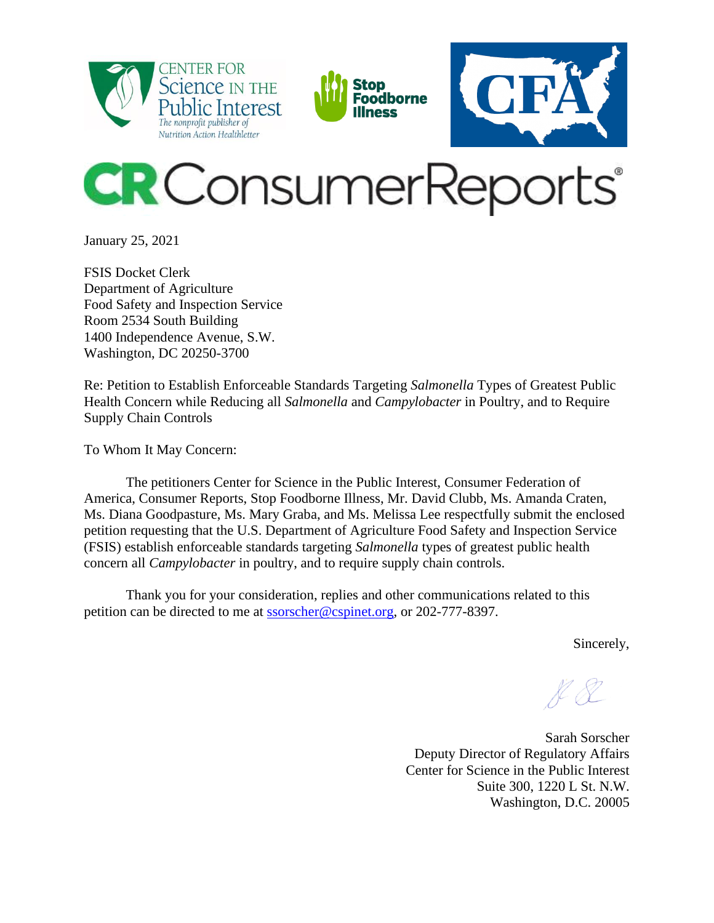

January 25, 2021

FSIS Docket Clerk Department of Agriculture Food Safety and Inspection Service Room 2534 South Building 1400 Independence Avenue, S.W. Washington, DC 20250-3700

Re: Petition to Establish Enforceable Standards Targeting *Salmonella* Types of Greatest Public Health Concern while Reducing all *Salmonella* and *Campylobacter* in Poultry, and to Require Supply Chain Controls

To Whom It May Concern:

The petitioners Center for Science in the Public Interest, Consumer Federation of America, Consumer Reports, Stop Foodborne Illness, Mr. David Clubb, Ms. Amanda Craten, Ms. Diana Goodpasture, Ms. Mary Graba, and Ms. Melissa Lee respectfully submit the enclosed petition requesting that the U.S. Department of Agriculture Food Safety and Inspection Service (FSIS) establish enforceable standards targeting *Salmonella* types of greatest public health concern all *Campylobacter* in poultry, and to require supply chain controls.

Thank you for your consideration, replies and other communications related to this petition can be directed to me at [ssorscher@cspinet.org,](mailto:ssorscher@cspinet.org) or 202-777-8397.

Sincerely,

Sarah Sorscher Deputy Director of Regulatory Affairs Center for Science in the Public Interest Suite 300, 1220 L St. N.W. Washington, D.C. 20005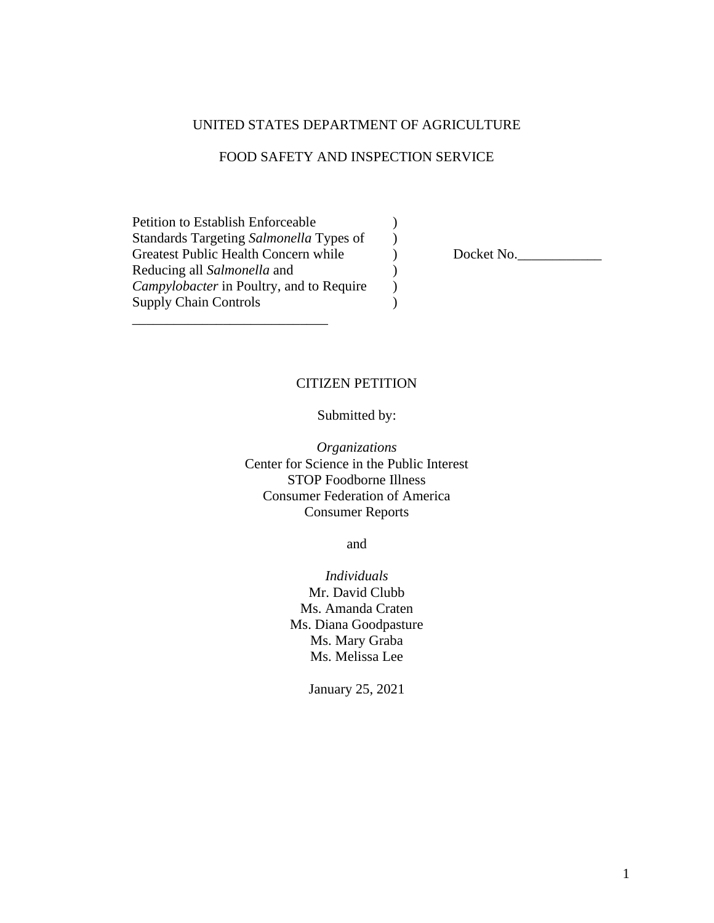#### UNITED STATES DEPARTMENT OF AGRICULTURE

#### FOOD SAFETY AND INSPECTION SERVICE

 $\mathcal{L}$ )

)  $\overline{)}$  $\lambda$ 

Petition to Establish Enforceable Standards Targeting *Salmonella* Types of Greatest Public Health Concern while Reducing all *Salmonella* and *Campylobacter* in Poultry, and to Require Supply Chain Controls

\_\_\_\_\_\_\_\_\_\_\_\_\_\_\_\_\_\_\_\_\_\_\_\_\_\_\_\_

) Docket No.

#### CITIZEN PETITION

Submitted by:

*Organizations* Center for Science in the Public Interest STOP Foodborne Illness Consumer Federation of America Consumer Reports

and

*Individuals* Mr. David Clubb Ms. Amanda Craten Ms. Diana Goodpasture Ms. Mary Graba Ms. Melissa Lee

January 25, 2021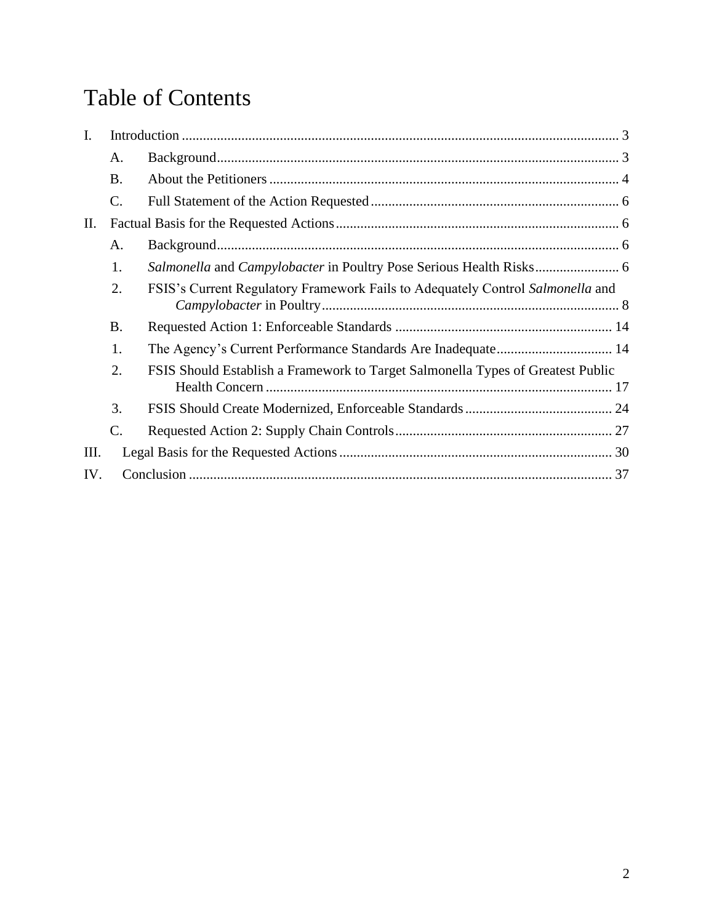# Table of Contents

| I.  |           |                                                                                 |  |
|-----|-----------|---------------------------------------------------------------------------------|--|
|     | A.        |                                                                                 |  |
|     | <b>B.</b> |                                                                                 |  |
|     | C.        |                                                                                 |  |
| Π.  |           |                                                                                 |  |
|     | A.        |                                                                                 |  |
|     | 1.        |                                                                                 |  |
|     | 2.        | FSIS's Current Regulatory Framework Fails to Adequately Control Salmonella and  |  |
|     | <b>B.</b> |                                                                                 |  |
|     | 1.        | The Agency's Current Performance Standards Are Inadequate 14                    |  |
|     | 2.        | FSIS Should Establish a Framework to Target Salmonella Types of Greatest Public |  |
|     | 3.        |                                                                                 |  |
|     | C.        |                                                                                 |  |
| Ш.  |           |                                                                                 |  |
| IV. |           |                                                                                 |  |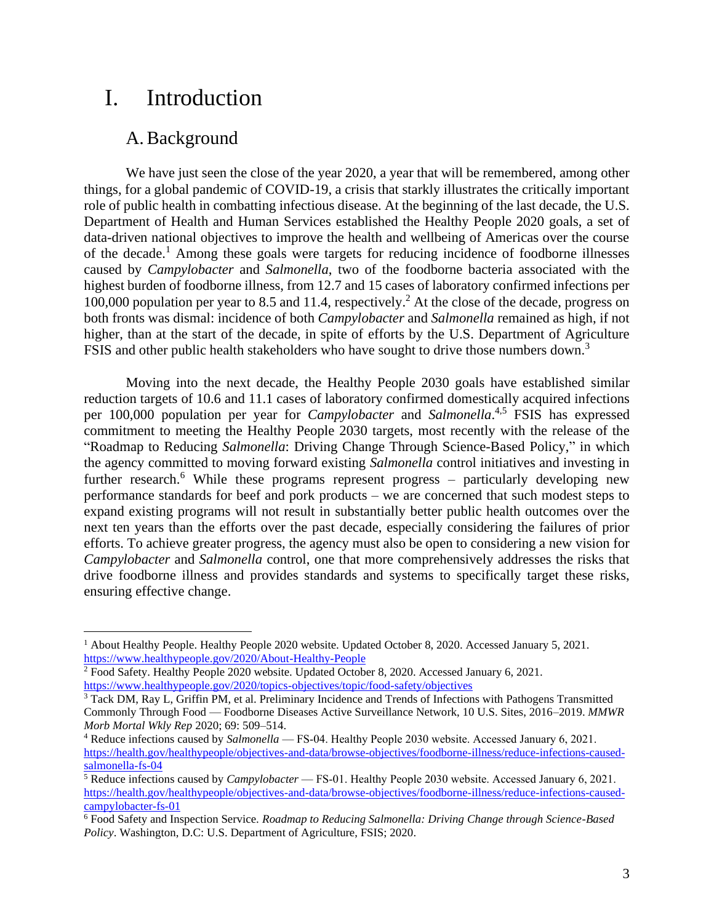# <span id="page-3-0"></span>I. Introduction

### A.Background

<span id="page-3-1"></span>We have just seen the close of the year 2020, a year that will be remembered, among other things, for a global pandemic of COVID-19, a crisis that starkly illustrates the critically important role of public health in combatting infectious disease. At the beginning of the last decade, the U.S. Department of Health and Human Services established the Healthy People 2020 goals, a set of data-driven national objectives to improve the health and wellbeing of Americas over the course of the decade.<sup>1</sup> Among these goals were targets for reducing incidence of foodborne illnesses caused by *Campylobacter* and *Salmonella*, two of the foodborne bacteria associated with the highest burden of foodborne illness, from 12.7 and 15 cases of laboratory confirmed infections per 100,000 population per year to 8.5 and 11.4, respectively. <sup>2</sup> At the close of the decade, progress on both fronts was dismal: incidence of both *Campylobacter* and *Salmonella* remained as high, if not higher, than at the start of the decade, in spite of efforts by the U.S. Department of Agriculture FSIS and other public health stakeholders who have sought to drive those numbers down.<sup>3</sup>

Moving into the next decade, the Healthy People 2030 goals have established similar reduction targets of 10.6 and 11.1 cases of laboratory confirmed domestically acquired infections per 100,000 population per year for *Campylobacter* and *Salmonella*. 4,5 FSIS has expressed commitment to meeting the Healthy People 2030 targets, most recently with the release of the "Roadmap to Reducing *Salmonella*: Driving Change Through Science-Based Policy," in which the agency committed to moving forward existing *Salmonella* control initiatives and investing in further research.<sup>6</sup> While these programs represent progress – particularly developing new performance standards for beef and pork products – we are concerned that such modest steps to expand existing programs will not result in substantially better public health outcomes over the next ten years than the efforts over the past decade, especially considering the failures of prior efforts. To achieve greater progress, the agency must also be open to considering a new vision for *Campylobacter* and *Salmonella* control, one that more comprehensively addresses the risks that drive foodborne illness and provides standards and systems to specifically target these risks, ensuring effective change.

<sup>1</sup> About Healthy People. Healthy People 2020 website. Updated October 8, 2020. Accessed January 5, 2021. <https://www.healthypeople.gov/2020/About-Healthy-People>

<sup>2</sup> Food Safety. Healthy People 2020 website. Updated October 8, 2020. Accessed January 6, 2021. <https://www.healthypeople.gov/2020/topics-objectives/topic/food-safety/objectives>

<sup>3</sup> Tack DM, Ray L, Griffin PM, et al. Preliminary Incidence and Trends of Infections with Pathogens Transmitted Commonly Through Food — Foodborne Diseases Active Surveillance Network, 10 U.S. Sites, 2016–2019. *MMWR Morb Mortal Wkly Rep* 2020; 69: 509–514.

<sup>4</sup> Reduce infections caused by *Salmonella* — FS‑04. Healthy People 2030 website. Accessed January 6, 2021. [https://health.gov/healthypeople/objectives-and-data/browse-objectives/foodborne-illness/reduce-infections-caused](https://health.gov/healthypeople/objectives-and-data/browse-objectives/foodborne-illness/reduce-infections-caused-salmonella-fs-04)[salmonella-fs-04](https://health.gov/healthypeople/objectives-and-data/browse-objectives/foodborne-illness/reduce-infections-caused-salmonella-fs-04)

<sup>5</sup> Reduce infections caused by *Campylobacter* — FS‑01. Healthy People 2030 website. Accessed January 6, 2021. [https://health.gov/healthypeople/objectives-and-data/browse-objectives/foodborne-illness/reduce-infections-caused](https://health.gov/healthypeople/objectives-and-data/browse-objectives/foodborne-illness/reduce-infections-caused-campylobacter-fs-01)[campylobacter-fs-01](https://health.gov/healthypeople/objectives-and-data/browse-objectives/foodborne-illness/reduce-infections-caused-campylobacter-fs-01)

<sup>6</sup> Food Safety and Inspection Service. *Roadmap to Reducing Salmonella: Driving Change through Science-Based Policy*. Washington, D.C: U.S. Department of Agriculture, FSIS; 2020.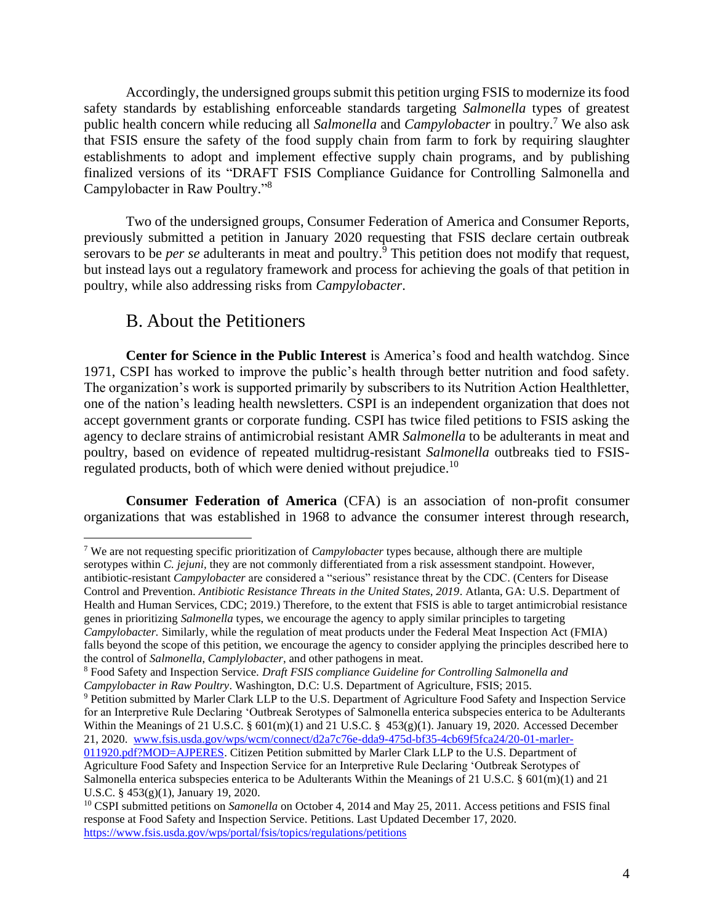Accordingly, the undersigned groups submit this petition urging FSIS to modernize its food safety standards by establishing enforceable standards targeting *Salmonella* types of greatest public health concern while reducing all *Salmonella* and *Campylobacter* in poultry. <sup>7</sup> We also ask that FSIS ensure the safety of the food supply chain from farm to fork by requiring slaughter establishments to adopt and implement effective supply chain programs, and by publishing finalized versions of its "DRAFT FSIS Compliance Guidance for Controlling Salmonella and Campylobacter in Raw Poultry."<sup>8</sup>

Two of the undersigned groups, Consumer Federation of America and Consumer Reports, previously submitted a petition in January 2020 requesting that FSIS declare certain outbreak serovars to be *per se* adulterants in meat and poultry. <sup>9</sup> This petition does not modify that request, but instead lays out a regulatory framework and process for achieving the goals of that petition in poultry, while also addressing risks from *Campylobacter*.

### B. About the Petitioners

<span id="page-4-0"></span>**Center for Science in the Public Interest** is America's food and health watchdog. Since 1971, CSPI has worked to improve the public's health through better nutrition and food safety. The organization's work is supported primarily by subscribers to its Nutrition Action Healthletter, one of the nation's leading health newsletters. CSPI is an independent organization that does not accept government grants or corporate funding. CSPI has twice filed petitions to FSIS asking the agency to declare strains of antimicrobial resistant AMR *Salmonella* to be adulterants in meat and poultry, based on evidence of repeated multidrug-resistant *Salmonella* outbreaks tied to FSISregulated products, both of which were denied without prejudice.<sup>10</sup>

**Consumer Federation of America** (CFA) is an association of non-profit consumer organizations that was established in 1968 to advance the consumer interest through research,

<sup>7</sup> We are not requesting specific prioritization of *Campylobacter* types because, although there are multiple serotypes within *C. jejuni*, they are not commonly differentiated from a risk assessment standpoint. However, antibiotic-resistant *Campylobacter* are considered a "serious" resistance threat by the CDC. (Centers for Disease Control and Prevention. *Antibiotic Resistance Threats in the United States, 2019*. Atlanta, GA: U.S. Department of Health and Human Services, CDC; 2019.) Therefore, to the extent that FSIS is able to target antimicrobial resistance genes in prioritizing *Salmonella* types, we encourage the agency to apply similar principles to targeting *Campylobacter.* Similarly, while the regulation of meat products under the Federal Meat Inspection Act (FMIA) falls beyond the scope of this petition, we encourage the agency to consider applying the principles described here to the control of *Salmonella*, *Camplylobacter*, and other pathogens in meat.

<sup>8</sup> Food Safety and Inspection Service. *Draft FSIS compliance Guideline for Controlling Salmonella and Campylobacter in Raw Poultry*. Washington, D.C: U.S. Department of Agriculture, FSIS; 2015.

<sup>9</sup> Petition submitted by Marler Clark LLP to the U.S. Department of Agriculture Food Safety and Inspection Service for an Interpretive Rule Declaring 'Outbreak Serotypes of Salmonella enterica subspecies enterica to be Adulterants Within the Meanings of 21 U.S.C. § 601(m)(1) and 21 U.S.C. § 453(g)(1). January 19, 2020. Accessed December 21, 2020. [www.fsis.usda.gov/wps/wcm/connect/d2a7c76e-dda9-475d-bf35-4cb69f5fca24/20-01-marler-](http://www.fsis.usda.gov/wps/wcm/connect/d2a7c76e-dda9-475d-bf35-4cb69f5fca24/20-01-marler-011920.pdf?MOD=AJPERES)

[<sup>011920.</sup>pdf?MOD=AJPERES.](http://www.fsis.usda.gov/wps/wcm/connect/d2a7c76e-dda9-475d-bf35-4cb69f5fca24/20-01-marler-011920.pdf?MOD=AJPERES) Citizen Petition submitted by Marler Clark LLP to the U.S. Department of Agriculture Food Safety and Inspection Service for an Interpretive Rule Declaring 'Outbreak Serotypes of Salmonella enterica subspecies enterica to be Adulterants Within the Meanings of 21 U.S.C. § 601(m)(1) and 21 U.S.C. § 453(g)(1), January 19, 2020.

<sup>&</sup>lt;sup>10</sup> CSPI submitted petitions on *Samonella* on October 4, 2014 and May 25, 2011. Access petitions and FSIS final response at Food Safety and Inspection Service. Petitions. Last Updated December 17, 2020. <https://www.fsis.usda.gov/wps/portal/fsis/topics/regulations/petitions>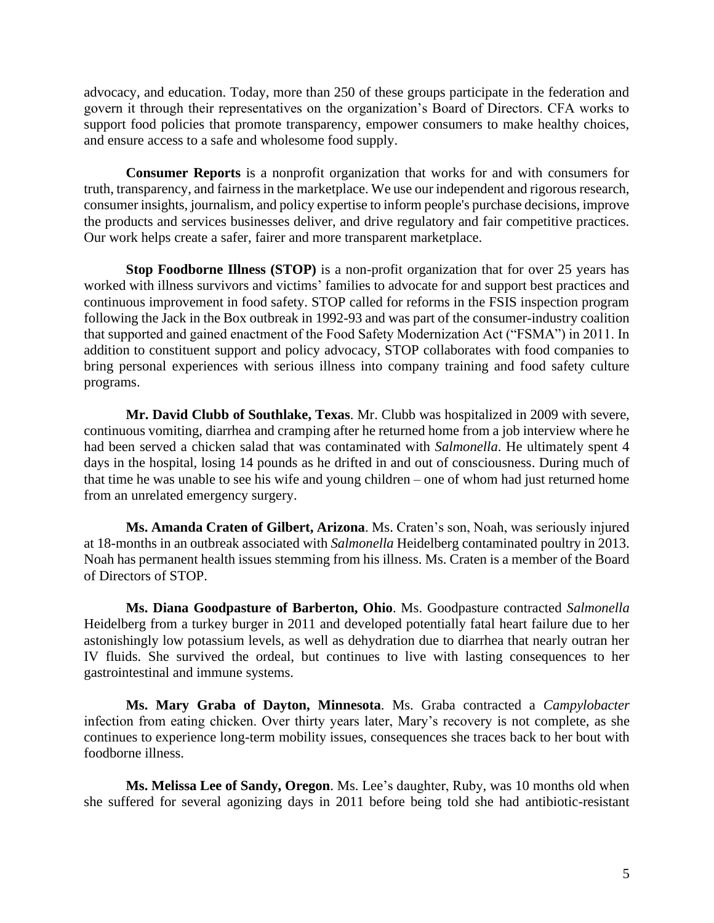advocacy, and education. Today, more than 250 of these groups participate in the federation and govern it through their representatives on the organization's Board of Directors. CFA works to support food policies that promote transparency, empower consumers to make healthy choices, and ensure access to a safe and wholesome food supply.

**Consumer Reports** is a nonprofit organization that works for and with consumers for truth, transparency, and fairness in the marketplace. We use our independent and rigorous research, consumer insights, journalism, and policy expertise to inform people's purchase decisions, improve the products and services businesses deliver, and drive regulatory and fair competitive practices. Our work helps create a safer, fairer and more transparent marketplace.

**Stop Foodborne Illness (STOP)** is a non-profit organization that for over 25 years has worked with illness survivors and victims' families to advocate for and support best practices and continuous improvement in food safety. STOP called for reforms in the FSIS inspection program following the Jack in the Box outbreak in 1992-93 and was part of the consumer-industry coalition that supported and gained enactment of the Food Safety Modernization Act ("FSMA") in 2011. In addition to constituent support and policy advocacy, STOP collaborates with food companies to bring personal experiences with serious illness into company training and food safety culture programs.

**Mr. David Clubb of Southlake, Texas**. Mr. Clubb was hospitalized in 2009 with severe, continuous vomiting, diarrhea and cramping after he returned home from a job interview where he had been served a chicken salad that was contaminated with *Salmonella*. He ultimately spent 4 days in the hospital, losing 14 pounds as he drifted in and out of consciousness. During much of that time he was unable to see his wife and young children – one of whom had just returned home from an unrelated emergency surgery.

**Ms. Amanda Craten of Gilbert, Arizona**. Ms. Craten's son, Noah, was seriously injured at 18-months in an outbreak associated with *Salmonella* Heidelberg contaminated poultry in 2013. Noah has permanent health issues stemming from his illness. Ms. Craten is a member of the Board of Directors of STOP.

**Ms. Diana Goodpasture of Barberton, Ohio**. Ms. Goodpasture contracted *Salmonella* Heidelberg from a turkey burger in 2011 and developed potentially fatal heart failure due to her astonishingly low potassium levels, as well as dehydration due to diarrhea that nearly outran her IV fluids. She survived the ordeal, but continues to live with lasting consequences to her gastrointestinal and immune systems.

**Ms. Mary Graba of Dayton, Minnesota**. Ms. Graba contracted a *Campylobacter* infection from eating chicken. Over thirty years later, Mary's recovery is not complete, as she continues to experience long-term mobility issues, consequences she traces back to her bout with foodborne illness.

**Ms. Melissa Lee of Sandy, Oregon**. Ms. Lee's daughter, Ruby, was 10 months old when she suffered for several agonizing days in 2011 before being told she had antibiotic-resistant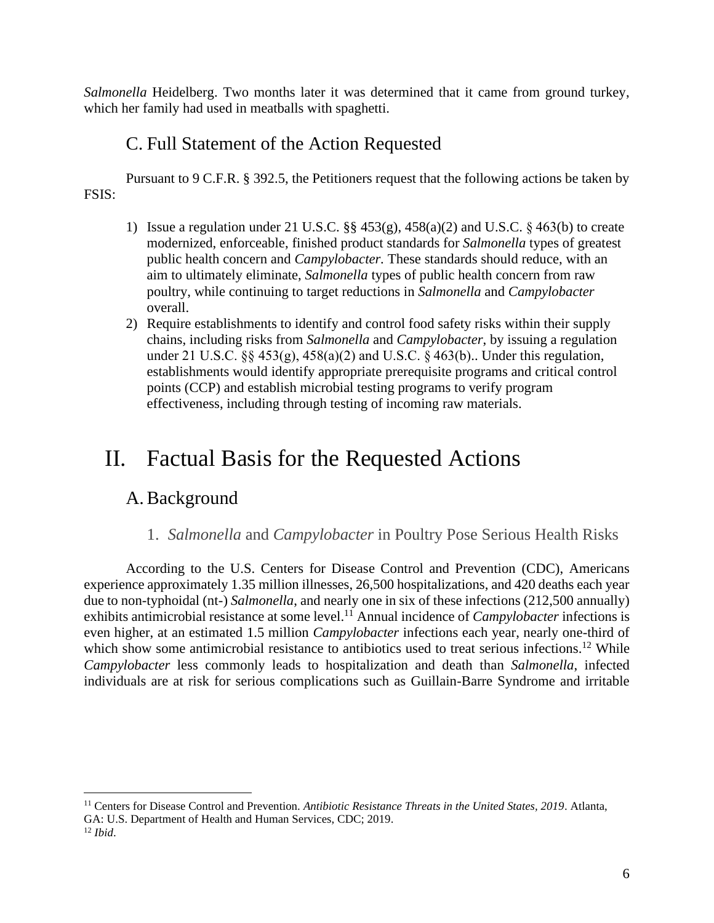*Salmonella* Heidelberg. Two months later it was determined that it came from ground turkey, which her family had used in meatballs with spaghetti.

## C. Full Statement of the Action Requested

<span id="page-6-0"></span>Pursuant to 9 C.F.R. § 392.5, the Petitioners request that the following actions be taken by FSIS:

- 1) Issue a regulation under 21 U.S.C. §§ 453(g), 458(a)(2) and U.S.C. § 463(b) to create modernized, enforceable, finished product standards for *Salmonella* types of greatest public health concern and *Campylobacter.* These standards should reduce, with an aim to ultimately eliminate, *Salmonella* types of public health concern from raw poultry, while continuing to target reductions in *Salmonella* and *Campylobacter* overall.
- 2) Require establishments to identify and control food safety risks within their supply chains, including risks from *Salmonella* and *Campylobacter*, by issuing a regulation under 21 U.S.C. §§ 453(g), 458(a)(2) and U.S.C. § 463(b).. Under this regulation, establishments would identify appropriate prerequisite programs and critical control points (CCP) and establish microbial testing programs to verify program effectiveness, including through testing of incoming raw materials.

# <span id="page-6-1"></span>II. Factual Basis for the Requested Actions

## <span id="page-6-2"></span>A.Background

#### 1. *Salmonella* and *Campylobacter* in Poultry Pose Serious Health Risks

<span id="page-6-3"></span>According to the U.S. Centers for Disease Control and Prevention (CDC), Americans experience approximately 1.35 million illnesses, 26,500 hospitalizations, and 420 deaths each year due to non-typhoidal (nt-) *Salmonella*, and nearly one in six of these infections (212,500 annually) exhibits antimicrobial resistance at some level. <sup>11</sup> Annual incidence of *Campylobacter* infections is even higher, at an estimated 1.5 million *Campylobacter* infections each year, nearly one-third of which show some antimicrobial resistance to antibiotics used to treat serious infections.<sup>12</sup> While *Campylobacter* less commonly leads to hospitalization and death than *Salmonella*, infected individuals are at risk for serious complications such as Guillain-Barre Syndrome and irritable

<sup>11</sup> Centers for Disease Control and Prevention. *Antibiotic Resistance Threats in the United States, 2019*. Atlanta, GA: U.S. Department of Health and Human Services, CDC; 2019. <sup>12</sup> *Ibid*.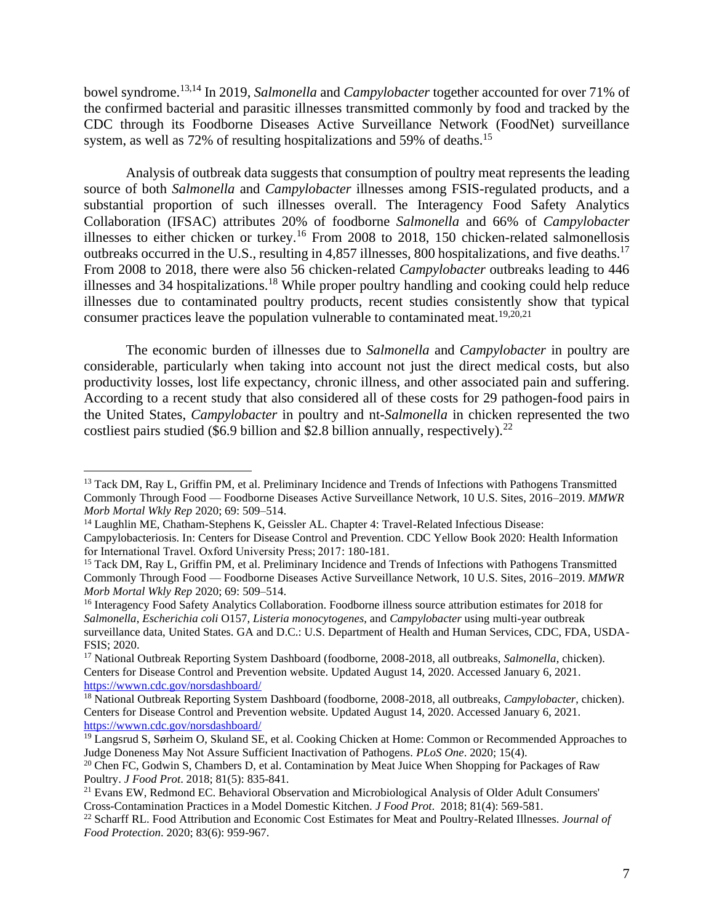bowel syndrome.13,14 In 2019, *Salmonella* and *Campylobacter* together accounted for over 71% of the confirmed bacterial and parasitic illnesses transmitted commonly by food and tracked by the CDC through its Foodborne Diseases Active Surveillance Network (FoodNet) surveillance system, as well as 72% of resulting hospitalizations and 59% of deaths.<sup>15</sup>

Analysis of outbreak data suggests that consumption of poultry meat represents the leading source of both *Salmonella* and *Campylobacter* illnesses among FSIS-regulated products, and a substantial proportion of such illnesses overall. The Interagency Food Safety Analytics Collaboration (IFSAC) attributes 20% of foodborne *Salmonella* and 66% of *Campylobacter*  illnesses to either chicken or turkey.<sup>16</sup> From 2008 to 2018, 150 chicken-related salmonellosis outbreaks occurred in the U.S., resulting in 4,857 illnesses, 800 hospitalizations, and five deaths.<sup>17</sup> From 2008 to 2018, there were also 56 chicken-related *Campylobacter* outbreaks leading to 446 illnesses and 34 hospitalizations.<sup>18</sup> While proper poultry handling and cooking could help reduce illnesses due to contaminated poultry products, recent studies consistently show that typical consumer practices leave the population vulnerable to contaminated meat.<sup>19,20,21</sup>

The economic burden of illnesses due to *Salmonella* and *Campylobacter* in poultry are considerable, particularly when taking into account not just the direct medical costs, but also productivity losses, lost life expectancy, chronic illness, and other associated pain and suffering. According to a recent study that also considered all of these costs for 29 pathogen-food pairs in the United States, *Campylobacter* in poultry and nt-*Salmonella* in chicken represented the two costliest pairs studied (\$6.9 billion and \$2.8 billion annually, respectively).<sup>22</sup>

<sup>&</sup>lt;sup>13</sup> Tack DM, Ray L, Griffin PM, et al. Preliminary Incidence and Trends of Infections with Pathogens Transmitted Commonly Through Food — Foodborne Diseases Active Surveillance Network, 10 U.S. Sites, 2016–2019. *MMWR Morb Mortal Wkly Rep* 2020; 69: 509–514.

<sup>&</sup>lt;sup>14</sup> Laughlin ME, Chatham-Stephens K, Geissler AL. Chapter 4: Travel-Related Infectious Disease:

Campylobacteriosis. In: Centers for Disease Control and Prevention. CDC Yellow Book 2020: Health Information for International Travel. Oxford University Press; 2017: 180-181.

<sup>&</sup>lt;sup>15</sup> Tack DM, Ray L, Griffin PM, et al. Preliminary Incidence and Trends of Infections with Pathogens Transmitted Commonly Through Food — Foodborne Diseases Active Surveillance Network, 10 U.S. Sites, 2016–2019. *MMWR Morb Mortal Wkly Rep* 2020; 69: 509–514.

<sup>&</sup>lt;sup>16</sup> Interagency Food Safety Analytics Collaboration. Foodborne illness source attribution estimates for 2018 for *Salmonella*, *Escherichia coli* O157, *Listeria monocytogenes*, and *Campylobacter* using multi-year outbreak surveillance data, United States. GA and D.C.: U.S. Department of Health and Human Services, CDC, FDA, USDA-FSIS; 2020.

<sup>&</sup>lt;sup>17</sup> National Outbreak Reporting System Dashboard (foodborne, 2008-2018, all outbreaks, *Salmonella*, chicken). Centers for Disease Control and Prevention website. Updated August 14, 2020. Accessed January 6, 2021. <https://wwwn.cdc.gov/norsdashboard/>

<sup>18</sup> National Outbreak Reporting System Dashboard (foodborne, 2008-2018, all outbreaks, *Campylobacter*, chicken). Centers for Disease Control and Prevention website. Updated August 14, 2020. Accessed January 6, 2021. <https://wwwn.cdc.gov/norsdashboard/>

 $\frac{19}{19}$  Langsrud S, Sørheim O, Skuland SE, et al. Cooking Chicken at Home: Common or Recommended Approaches to Judge Doneness May Not Assure Sufficient Inactivation of Pathogens. *PLoS One*. 2020; 15(4).

<sup>&</sup>lt;sup>20</sup> Chen FC, Godwin S, Chambers D, et al. Contamination by Meat Juice When Shopping for Packages of Raw Poultry. *J Food Prot*. 2018; 81(5): 835-841.

<sup>&</sup>lt;sup>21</sup> Evans EW, Redmond EC. Behavioral Observation and Microbiological Analysis of Older Adult Consumers' Cross-Contamination Practices in a Model Domestic Kitchen. *J Food Prot*. 2018; 81(4): 569-581.

<sup>22</sup> Scharff RL. Food Attribution and Economic Cost Estimates for Meat and Poultry-Related Illnesses. *Journal of Food Protection*. 2020; 83(6): 959-967.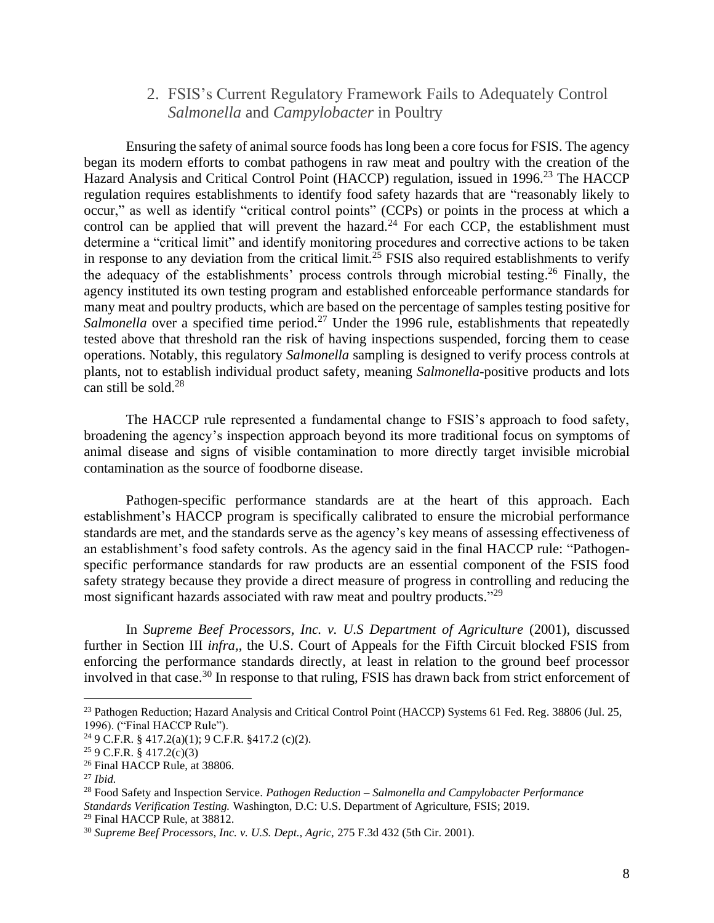#### 2. FSIS's Current Regulatory Framework Fails to Adequately Control *Salmonella* and *Campylobacter* in Poultry

<span id="page-8-0"></span>Ensuring the safety of animal source foods has long been a core focus for FSIS. The agency began its modern efforts to combat pathogens in raw meat and poultry with the creation of the Hazard Analysis and Critical Control Point (HACCP) regulation, issued in 1996.<sup>23</sup> The HACCP regulation requires establishments to identify food safety hazards that are "reasonably likely to occur," as well as identify "critical control points" (CCPs) or points in the process at which a control can be applied that will prevent the hazard.<sup>24</sup> For each CCP, the establishment must determine a "critical limit" and identify monitoring procedures and corrective actions to be taken in response to any deviation from the critical limit.<sup>25</sup> FSIS also required establishments to verify the adequacy of the establishments' process controls through microbial testing. <sup>26</sup> Finally, the agency instituted its own testing program and established enforceable performance standards for many meat and poultry products, which are based on the percentage of samples testing positive for *Salmonella* over a specified time period.<sup>27</sup> Under the 1996 rule, establishments that repeatedly tested above that threshold ran the risk of having inspections suspended, forcing them to cease operations. Notably, this regulatory *Salmonella* sampling is designed to verify process controls at plants, not to establish individual product safety, meaning *Salmonella*-positive products and lots can still be sold.<sup>28</sup>

The HACCP rule represented a fundamental change to FSIS's approach to food safety, broadening the agency's inspection approach beyond its more traditional focus on symptoms of animal disease and signs of visible contamination to more directly target invisible microbial contamination as the source of foodborne disease.

Pathogen-specific performance standards are at the heart of this approach. Each establishment's HACCP program is specifically calibrated to ensure the microbial performance standards are met, and the standards serve as the agency's key means of assessing effectiveness of an establishment's food safety controls. As the agency said in the final HACCP rule: "Pathogenspecific performance standards for raw products are an essential component of the FSIS food safety strategy because they provide a direct measure of progress in controlling and reducing the most significant hazards associated with raw meat and poultry products."<sup>29</sup>

In *Supreme Beef Processors, Inc. v. U.S Department of Agriculture (2001), discussed* further in Section III *infra,*, the U.S. Court of Appeals for the Fifth Circuit blocked FSIS from enforcing the performance standards directly, at least in relation to the ground beef processor involved in that case.<sup>30</sup> In response to that ruling, FSIS has drawn back from strict enforcement of

<sup>&</sup>lt;sup>23</sup> Pathogen Reduction; Hazard Analysis and Critical Control Point (HACCP) Systems 61 Fed. Reg. 38806 (Jul. 25, 1996). ("Final HACCP Rule").

<sup>24</sup> 9 C.F.R. § 417.2(a)(1); 9 C.F.R. §417.2 (c)(2).

 $25$  9 C.F.R. § 417.2(c)(3)

<sup>26</sup> Final HACCP Rule, at 38806.

<sup>27</sup> *Ibid.*

<sup>28</sup> Food Safety and Inspection Service. *Pathogen Reduction – Salmonella and Campylobacter Performance Standards Verification Testing.* Washington, D.C: U.S. Department of Agriculture, FSIS; 2019.

<sup>29</sup> Final HACCP Rule, at 38812.

<sup>30</sup> *Supreme Beef Processors, Inc. v. U.S. Dept., Agric,* 275 F.3d 432 (5th Cir. 2001).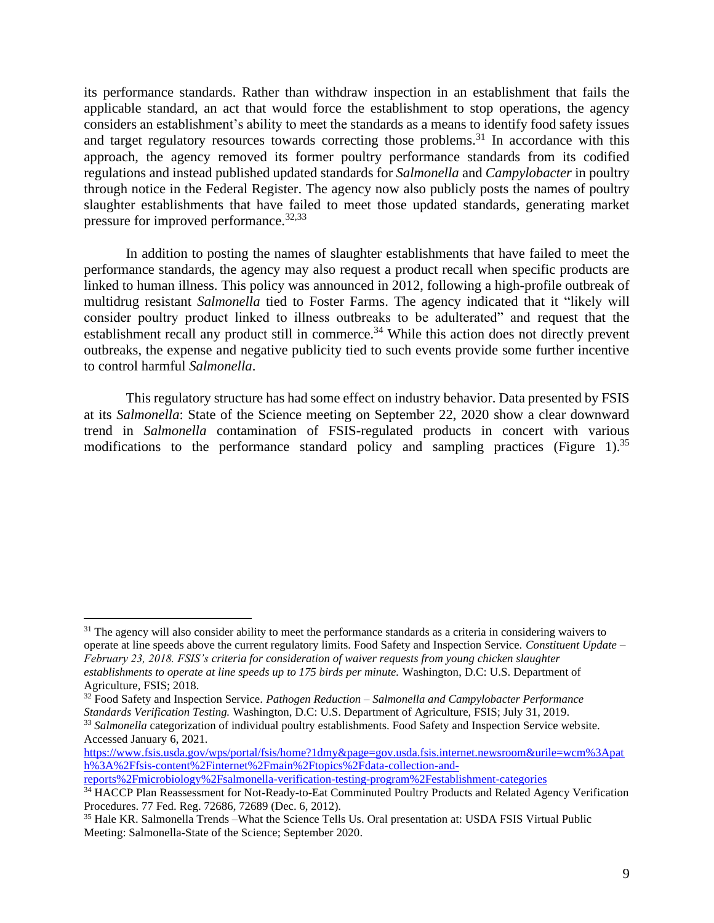its performance standards. Rather than withdraw inspection in an establishment that fails the applicable standard, an act that would force the establishment to stop operations, the agency considers an establishment's ability to meet the standards as a means to identify food safety issues and target regulatory resources towards correcting those problems.<sup>31</sup> In accordance with this approach, the agency removed its former poultry performance standards from its codified regulations and instead published updated standards for *Salmonella* and *Campylobacter* in poultry through notice in the Federal Register. The agency now also publicly posts the names of poultry slaughter establishments that have failed to meet those updated standards, generating market pressure for improved performance.<sup>32,33</sup>

In addition to posting the names of slaughter establishments that have failed to meet the performance standards, the agency may also request a product recall when specific products are linked to human illness. This policy was announced in 2012, following a high-profile outbreak of multidrug resistant *Salmonella* tied to Foster Farms. The agency indicated that it "likely will consider poultry product linked to illness outbreaks to be adulterated" and request that the establishment recall any product still in commerce.<sup>34</sup> While this action does not directly prevent outbreaks, the expense and negative publicity tied to such events provide some further incentive to control harmful *Salmonella*.

This regulatory structure has had some effect on industry behavior. Data presented by FSIS at its *Salmonella*: State of the Science meeting on September 22, 2020 show a clear downward trend in *Salmonella* contamination of FSIS-regulated products in concert with various modifications to the performance standard policy and sampling practices (Figure 1).<sup>35</sup>

[https://www.fsis.usda.gov/wps/portal/fsis/home?1dmy&page=gov.usda.fsis.internet.newsroom&urile=wcm%3Apat](https://www.fsis.usda.gov/wps/portal/fsis/home?1dmy&page=gov.usda.fsis.internet.newsroom&urile=wcm%3Apath%3A%2Ffsis-content%2Finternet%2Fmain%2Ftopics%2Fdata-collection-and-reports%2Fmicrobiology%2Fsalmonella-verification-testing-program%2Festablishment-categories) [h%3A%2Ffsis-content%2Finternet%2Fmain%2Ftopics%2Fdata-collection-and-](https://www.fsis.usda.gov/wps/portal/fsis/home?1dmy&page=gov.usda.fsis.internet.newsroom&urile=wcm%3Apath%3A%2Ffsis-content%2Finternet%2Fmain%2Ftopics%2Fdata-collection-and-reports%2Fmicrobiology%2Fsalmonella-verification-testing-program%2Festablishment-categories)

 $31$  The agency will also consider ability to meet the performance standards as a criteria in considering waivers to operate at line speeds above the current regulatory limits. Food Safety and Inspection Service. *Constituent Update – February 23, 2018. FSIS's criteria for consideration of waiver requests from young chicken slaughter establishments to operate at line speeds up to 175 birds per minute.* Washington, D.C: U.S. Department of Agriculture, FSIS; 2018.

<sup>32</sup> Food Safety and Inspection Service. *Pathogen Reduction – Salmonella and Campylobacter Performance Standards Verification Testing.* Washington, D.C: U.S. Department of Agriculture, FSIS; July 31, 2019.

<sup>33</sup> *Salmonella* categorization of individual poultry establishments. Food Safety and Inspection Service website. Accessed January 6, 2021.

[reports%2Fmicrobiology%2Fsalmonella-verification-testing-program%2Festablishment-categories](https://www.fsis.usda.gov/wps/portal/fsis/home?1dmy&page=gov.usda.fsis.internet.newsroom&urile=wcm%3Apath%3A%2Ffsis-content%2Finternet%2Fmain%2Ftopics%2Fdata-collection-and-reports%2Fmicrobiology%2Fsalmonella-verification-testing-program%2Festablishment-categories)

<sup>&</sup>lt;sup>34</sup> HACCP Plan Reassessment for Not-Ready-to-Eat Comminuted Poultry Products and Related Agency Verification Procedures. 77 Fed. Reg. 72686, 72689 (Dec. 6, 2012).

<sup>35</sup> Hale KR. Salmonella Trends –What the Science Tells Us. Oral presentation at: USDA FSIS Virtual Public Meeting: Salmonella-State of the Science; September 2020.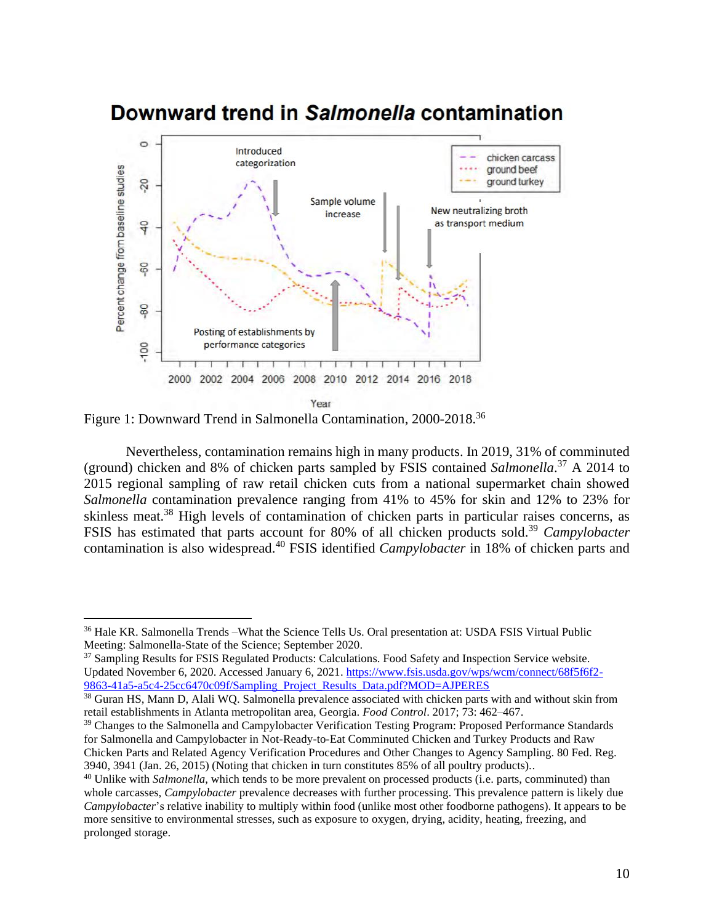

## Downward trend in Salmonella contamination

Figure 1: Downward Trend in Salmonella Contamination, 2000-2018.<sup>36</sup>

Nevertheless, contamination remains high in many products. In 2019, 31% of comminuted (ground) chicken and 8% of chicken parts sampled by FSIS contained *Salmonella*. <sup>37</sup> A 2014 to 2015 regional sampling of raw retail chicken cuts from a national supermarket chain showed *Salmonella* contamination prevalence ranging from 41% to 45% for skin and 12% to 23% for skinless meat.<sup>38</sup> High levels of contamination of chicken parts in particular raises concerns, as FSIS has estimated that parts account for 80% of all chicken products sold.<sup>39</sup> *Campylobacter* contamination is also widespread. <sup>40</sup> FSIS identified *Campylobacter* in 18% of chicken parts and

<sup>36</sup> Hale KR. Salmonella Trends –What the Science Tells Us. Oral presentation at: USDA FSIS Virtual Public Meeting: Salmonella-State of the Science; September 2020.

<sup>&</sup>lt;sup>37</sup> Sampling Results for FSIS Regulated Products: Calculations. Food Safety and Inspection Service website. Updated November 6, 2020. Accessed January 6, 2021. [https://www.fsis.usda.gov/wps/wcm/connect/68f5f6f2-](https://www.fsis.usda.gov/wps/wcm/connect/68f5f6f2-9863-41a5-a5c4-25cc6470c09f/Sampling_Project_Results_Data.pdf?MOD=AJPERES) [9863-41a5-a5c4-25cc6470c09f/Sampling\\_Project\\_Results\\_Data.pdf?MOD=AJPERES](https://www.fsis.usda.gov/wps/wcm/connect/68f5f6f2-9863-41a5-a5c4-25cc6470c09f/Sampling_Project_Results_Data.pdf?MOD=AJPERES) 

<sup>&</sup>lt;sup>38</sup> Guran HS, Mann D, Alali WQ. Salmonella prevalence associated with chicken parts with and without skin from retail establishments in Atlanta metropolitan area, Georgia. *Food Control*. 2017; 73: 462–467.

<sup>&</sup>lt;sup>39</sup> Changes to the Salmonella and Campylobacter Verification Testing Program: Proposed Performance Standards for Salmonella and Campylobacter in Not-Ready-to-Eat Comminuted Chicken and Turkey Products and Raw Chicken Parts and Related Agency Verification Procedures and Other Changes to Agency Sampling. 80 Fed. Reg. 3940, 3941 (Jan. 26, 2015) (Noting that chicken in turn constitutes 85% of all poultry products).*.* 

<sup>&</sup>lt;sup>40</sup> Unlike with *Salmonella*, which tends to be more prevalent on processed products (i.e. parts, comminuted) than whole carcasses, *Campylobacter* prevalence decreases with further processing. This prevalence pattern is likely due *Campylobacter*'s relative inability to multiply within food (unlike most other foodborne pathogens). It appears to be more sensitive to environmental stresses, such as exposure to oxygen, drying, acidity, heating, freezing, and prolonged storage.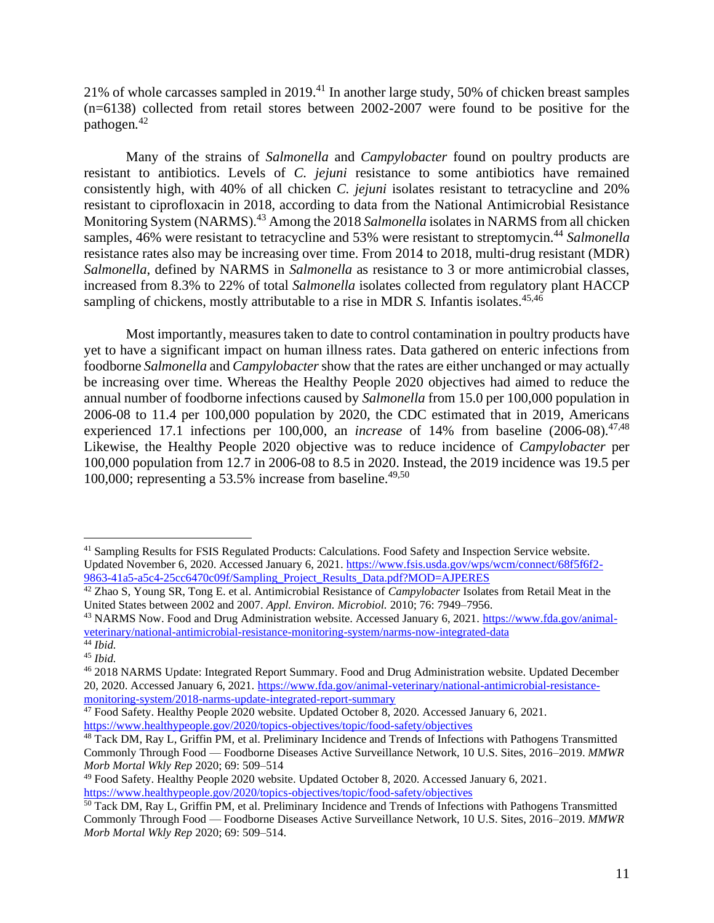21% of whole carcasses sampled in 2019. <sup>41</sup> In another large study, 50% of chicken breast samples (n=6138) collected from retail stores between 2002-2007 were found to be positive for the pathogen*.* 42

Many of the strains of *Salmonella* and *Campylobacter* found on poultry products are resistant to antibiotics. Levels of *C. jejuni* resistance to some antibiotics have remained consistently high, with 40% of all chicken *C. jejuni* isolates resistant to tetracycline and 20% resistant to ciprofloxacin in 2018, according to data from the National Antimicrobial Resistance Monitoring System (NARMS). <sup>43</sup> Among the 2018 *Salmonella* isolates in NARMS from all chicken samples, 46% were resistant to tetracycline and 53% were resistant to streptomycin.<sup>44</sup> Salmonella resistance rates also may be increasing over time. From 2014 to 2018, multi-drug resistant (MDR) *Salmonella*, defined by NARMS in *Salmonella* as resistance to 3 or more antimicrobial classes, increased from 8.3% to 22% of total *Salmonella* isolates collected from regulatory plant HACCP sampling of chickens, mostly attributable to a rise in MDR *S*. Infantis isolates.<sup>45,46</sup>

Most importantly, measures taken to date to control contamination in poultry products have yet to have a significant impact on human illness rates. Data gathered on enteric infections from foodborne *Salmonella* and *Campylobacter*show that the rates are either unchanged or may actually be increasing over time. Whereas the Healthy People 2020 objectives had aimed to reduce the annual number of foodborne infections caused by *Salmonella* from 15.0 per 100,000 population in 2006-08 to 11.4 per 100,000 population by 2020, the CDC estimated that in 2019, Americans experienced 17.1 infections per 100,000, an *increase* of 14% from baseline (2006-08). 47,48 Likewise, the Healthy People 2020 objective was to reduce incidence of *Campylobacter* per 100,000 population from 12.7 in 2006-08 to 8.5 in 2020. Instead, the 2019 incidence was 19.5 per 100,000; representing a 53.5% increase from baseline. 49,50

<sup>41</sup> Sampling Results for FSIS Regulated Products: Calculations. Food Safety and Inspection Service website. Updated November 6, 2020. Accessed January 6, 2021. [https://www.fsis.usda.gov/wps/wcm/connect/68f5f6f2-](https://www.fsis.usda.gov/wps/wcm/connect/68f5f6f2-9863-41a5-a5c4-25cc6470c09f/Sampling_Project_Results_Data.pdf?MOD=AJPERES) [9863-41a5-a5c4-25cc6470c09f/Sampling\\_Project\\_Results\\_Data.pdf?MOD=AJPERES](https://www.fsis.usda.gov/wps/wcm/connect/68f5f6f2-9863-41a5-a5c4-25cc6470c09f/Sampling_Project_Results_Data.pdf?MOD=AJPERES) 

<sup>42</sup> Zhao S, Young SR, Tong E. et al. Antimicrobial Resistance of *Campylobacter* Isolates from Retail Meat in the United States between 2002 and 2007. *Appl. Environ. Microbiol.* 2010; 76: 7949–7956.

<sup>43</sup> NARMS Now. Food and Drug Administration website. Accessed January 6, 2021. [https://www.fda.gov/animal](https://www.fda.gov/animal-veterinary/national-antimicrobial-resistance-monitoring-system/narms-now-integrated-data)[veterinary/national-antimicrobial-resistance-monitoring-system/narms-now-integrated-data](https://www.fda.gov/animal-veterinary/national-antimicrobial-resistance-monitoring-system/narms-now-integrated-data)

<sup>44</sup> *Ibid.*

<sup>45</sup> *Ibid.*

<sup>46</sup> 2018 NARMS Update: Integrated Report Summary. Food and Drug Administration website. Updated December 20, 2020. Accessed January 6, 2021. [https://www.fda.gov/animal-veterinary/national-antimicrobial-resistance](https://www.fda.gov/animal-veterinary/national-antimicrobial-resistance-monitoring-system/2018-narms-update-integrated-report-summary)[monitoring-system/2018-narms-update-integrated-report-summary](https://www.fda.gov/animal-veterinary/national-antimicrobial-resistance-monitoring-system/2018-narms-update-integrated-report-summary)

<sup>&</sup>lt;sup>47</sup> Food Safety. Healthy People 2020 website. Updated October 8, 2020. Accessed January 6, 2021. <https://www.healthypeople.gov/2020/topics-objectives/topic/food-safety/objectives>

<sup>&</sup>lt;sup>48</sup> Tack DM, Ray L, Griffin PM, et al. Preliminary Incidence and Trends of Infections with Pathogens Transmitted Commonly Through Food — Foodborne Diseases Active Surveillance Network, 10 U.S. Sites, 2016–2019. *MMWR Morb Mortal Wkly Rep* 2020; 69: 509–514

<sup>49</sup> Food Safety. Healthy People 2020 website. Updated October 8, 2020. Accessed January 6, 2021. <https://www.healthypeople.gov/2020/topics-objectives/topic/food-safety/objectives>

<sup>&</sup>lt;sup>50</sup> Tack DM, Ray L, Griffin PM, et al. Preliminary Incidence and Trends of Infections with Pathogens Transmitted Commonly Through Food — Foodborne Diseases Active Surveillance Network, 10 U.S. Sites, 2016–2019. *MMWR Morb Mortal Wkly Rep* 2020; 69: 509–514.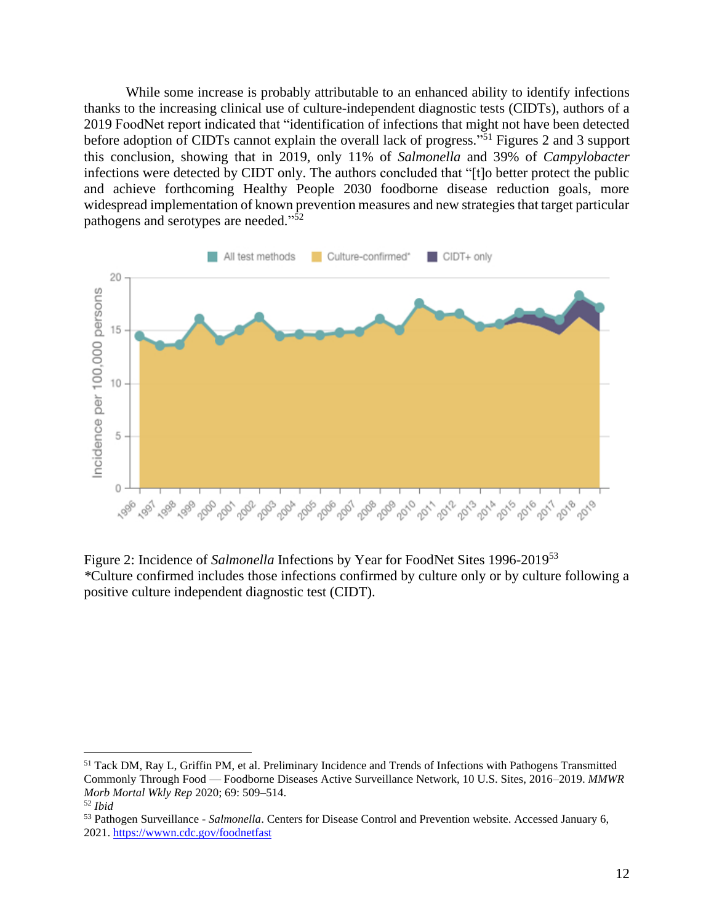While some increase is probably attributable to an enhanced ability to identify infections thanks to the increasing clinical use of culture-independent diagnostic tests (CIDTs), authors of a 2019 FoodNet report indicated that "identification of infections that might not have been detected before adoption of CIDTs cannot explain the overall lack of progress."<sup>51</sup> Figures 2 and 3 support this conclusion, showing that in 2019, only 11% of *Salmonella* and 39% of *Campylobacter* infections were detected by CIDT only. The authors concluded that "[t]o better protect the public and achieve forthcoming Healthy People 2030 foodborne disease reduction goals, more widespread implementation of known prevention measures and new strategies that target particular pathogens and serotypes are needed."<sup>52</sup>



Figure 2: Incidence of *Salmonella* Infections by Year for FoodNet Sites 1996-2019<sup>53</sup> *\**Culture confirmed includes those infections confirmed by culture only or by culture following a positive culture independent diagnostic test (CIDT).

<sup>51</sup> Tack DM, Ray L, Griffin PM, et al. Preliminary Incidence and Trends of Infections with Pathogens Transmitted Commonly Through Food — Foodborne Diseases Active Surveillance Network, 10 U.S. Sites, 2016–2019. *MMWR Morb Mortal Wkly Rep* 2020; 69: 509–514.

<sup>52</sup> *Ibid*

<sup>53</sup> Pathogen Surveillance - *Salmonella*. Centers for Disease Control and Prevention website. Accessed January 6, 2021.<https://wwwn.cdc.gov/foodnetfast>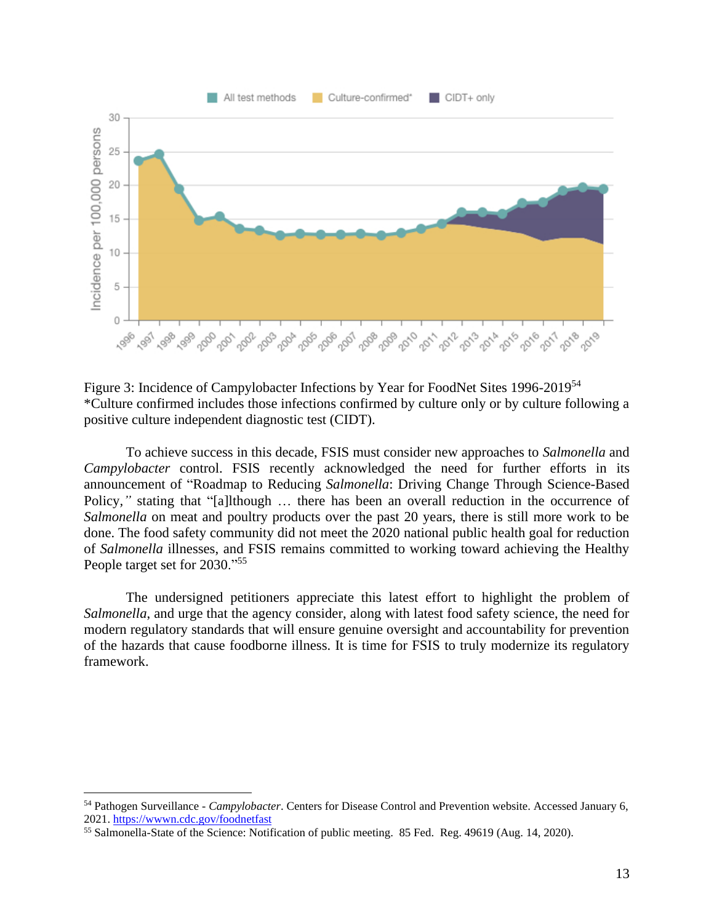

Figure 3: Incidence of Campylobacter Infections by Year for FoodNet Sites 1996-2019<sup>54</sup> \*Culture confirmed includes those infections confirmed by culture only or by culture following a positive culture independent diagnostic test (CIDT).

To achieve success in this decade, FSIS must consider new approaches to *Salmonella* and *Campylobacter* control. FSIS recently acknowledged the need for further efforts in its announcement of "Roadmap to Reducing *Salmonella*: Driving Change Through Science-Based Policy*,"* stating that "[a]lthough … there has been an overall reduction in the occurrence of *Salmonella* on meat and poultry products over the past 20 years, there is still more work to be done. The food safety community did not meet the 2020 national public health goal for reduction of *Salmonella* illnesses, and FSIS remains committed to working toward achieving the Healthy People target set for 2030."<sup>55</sup>

The undersigned petitioners appreciate this latest effort to highlight the problem of *Salmonella*, and urge that the agency consider, along with latest food safety science, the need for modern regulatory standards that will ensure genuine oversight and accountability for prevention of the hazards that cause foodborne illness. It is time for FSIS to truly modernize its regulatory framework.

<sup>54</sup> Pathogen Surveillance - *Campylobacter*. Centers for Disease Control and Prevention website. Accessed January 6, 2021.<https://wwwn.cdc.gov/foodnetfast>

<sup>55</sup> Salmonella-State of the Science: Notification of public meeting. 85 Fed. Reg. 49619 (Aug. 14, 2020).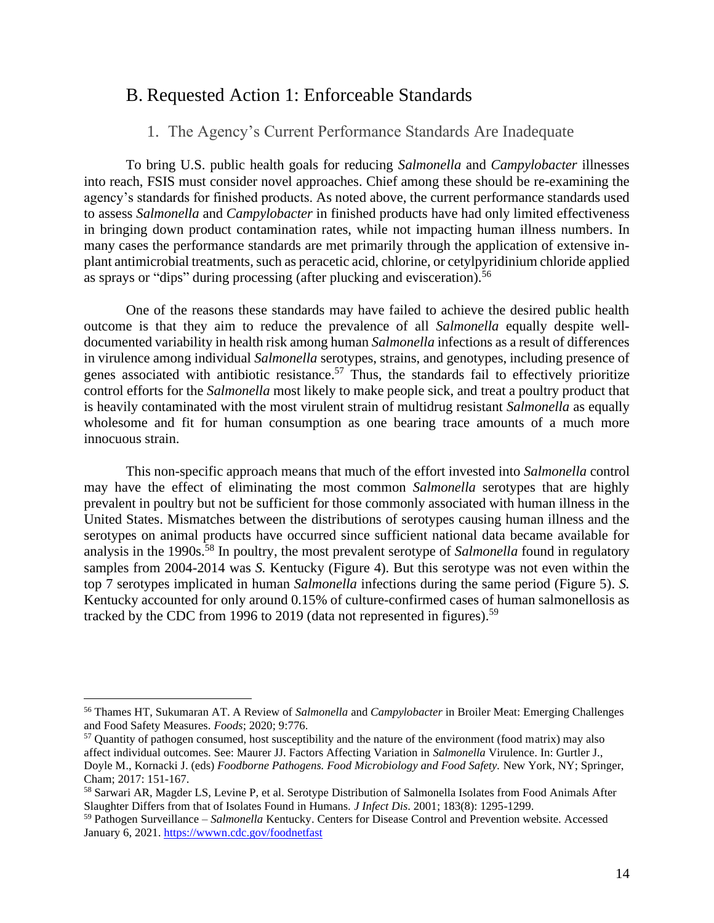#### <span id="page-14-0"></span>B. Requested Action 1: Enforceable Standards

#### 1. The Agency's Current Performance Standards Are Inadequate

<span id="page-14-1"></span>To bring U.S. public health goals for reducing *Salmonella* and *Campylobacter* illnesses into reach, FSIS must consider novel approaches. Chief among these should be re-examining the agency's standards for finished products. As noted above, the current performance standards used to assess *Salmonella* and *Campylobacter* in finished products have had only limited effectiveness in bringing down product contamination rates, while not impacting human illness numbers. In many cases the performance standards are met primarily through the application of extensive inplant antimicrobial treatments, such as peracetic acid, chlorine, or cetylpyridinium chloride applied as sprays or "dips" during processing (after plucking and evisceration).<sup>56</sup>

One of the reasons these standards may have failed to achieve the desired public health outcome is that they aim to reduce the prevalence of all *Salmonella* equally despite welldocumented variability in health risk among human *Salmonella* infections as a result of differences in virulence among individual *Salmonella* serotypes, strains, and genotypes, including presence of genes associated with antibiotic resistance.<sup>57</sup> Thus, the standards fail to effectively prioritize control efforts for the *Salmonella* most likely to make people sick, and treat a poultry product that is heavily contaminated with the most virulent strain of multidrug resistant *Salmonella* as equally wholesome and fit for human consumption as one bearing trace amounts of a much more innocuous strain.

This non-specific approach means that much of the effort invested into *Salmonella* control may have the effect of eliminating the most common *Salmonella* serotypes that are highly prevalent in poultry but not be sufficient for those commonly associated with human illness in the United States. Mismatches between the distributions of serotypes causing human illness and the serotypes on animal products have occurred since sufficient national data became available for analysis in the 1990s. <sup>58</sup> In poultry, the most prevalent serotype of *Salmonella* found in regulatory samples from 2004-2014 was *S.* Kentucky (Figure 4). But this serotype was not even within the top 7 serotypes implicated in human *Salmonella* infections during the same period (Figure 5). *S.*  Kentucky accounted for only around 0.15% of culture-confirmed cases of human salmonellosis as tracked by the CDC from 1996 to 2019 (data not represented in figures).<sup>59</sup>

<sup>56</sup> Thames HT, Sukumaran AT. A Review of *Salmonella* and *Campylobacter* in Broiler Meat: Emerging Challenges and Food Safety Measures. *Foods*; 2020; 9:776.

<sup>57</sup> Quantity of pathogen consumed, host susceptibility and the nature of the environment (food matrix) may also affect individual outcomes. See: Maurer JJ. Factors Affecting Variation in *Salmonella* Virulence. In: Gurtler J., Doyle M., Kornacki J. (eds) *Foodborne Pathogens. Food Microbiology and Food Safety.* New York, NY; Springer, Cham; 2017: 151-167.

<sup>58</sup> Sarwari AR, Magder LS, Levine P, et al. Serotype Distribution of Salmonella Isolates from Food Animals After Slaughter Differs from that of Isolates Found in Humans. *J Infect Dis*. 2001; 183(8): 1295-1299.

<sup>59</sup> Pathogen Surveillance – *Salmonella* Kentucky. Centers for Disease Control and Prevention website. Accessed January 6, 2021[. https://wwwn.cdc.gov/foodnetfast](https://wwwn.cdc.gov/foodnetfast)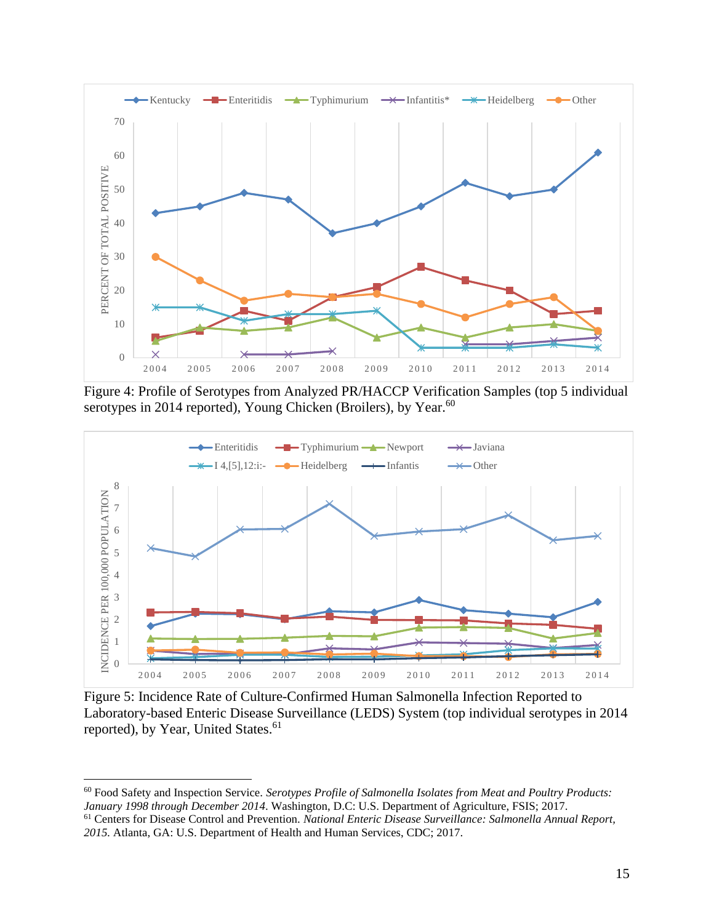

Figure 4: Profile of Serotypes from Analyzed PR/HACCP Verification Samples (top 5 individual serotypes in 2014 reported), Young Chicken (Broilers), by Year.<sup>60</sup>



Figure 5: Incidence Rate of Culture-Confirmed Human Salmonella Infection Reported to Laboratory-based Enteric Disease Surveillance (LEDS) System (top individual serotypes in 2014 reported), by Year, United States.<sup>61</sup>

 Food Safety and Inspection Service. *Serotypes Profile of Salmonella Isolates from Meat and Poultry Products: January 1998 through December 2014*. Washington, D.C: U.S. Department of Agriculture, FSIS; 2017.

 Centers for Disease Control and Prevention. *National Enteric Disease Surveillance: Salmonella Annual Report, 2015.* Atlanta, GA: U.S. Department of Health and Human Services, CDC; 2017.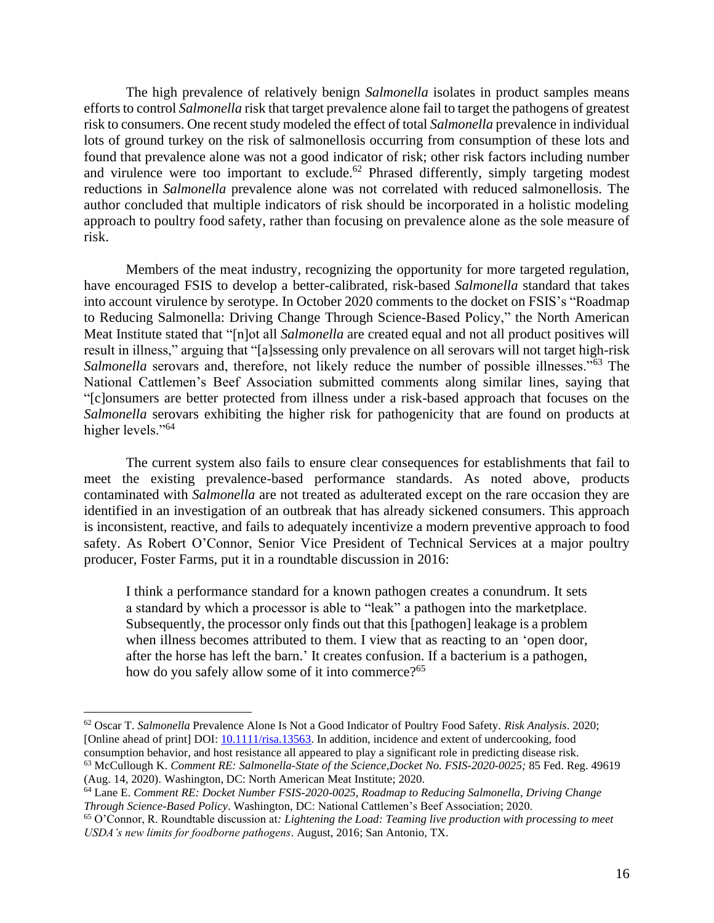The high prevalence of relatively benign *Salmonella* isolates in product samples means efforts to control *Salmonella* risk that target prevalence alone fail to target the pathogens of greatest risk to consumers. One recent study modeled the effect of total *Salmonella* prevalence in individual lots of ground turkey on the risk of salmonellosis occurring from consumption of these lots and found that prevalence alone was not a good indicator of risk; other risk factors including number and virulence were too important to exclude.<sup>62</sup> Phrased differently, simply targeting modest reductions in *Salmonella* prevalence alone was not correlated with reduced salmonellosis. The author concluded that multiple indicators of risk should be incorporated in a holistic modeling approach to poultry food safety, rather than focusing on prevalence alone as the sole measure of risk.

Members of the meat industry, recognizing the opportunity for more targeted regulation, have encouraged FSIS to develop a better-calibrated, risk-based *Salmonella* standard that takes into account virulence by serotype. In October 2020 comments to the docket on FSIS's "Roadmap to Reducing Salmonella: Driving Change Through Science-Based Policy," the North American Meat Institute stated that "[n]ot all *Salmonella* are created equal and not all product positives will result in illness," arguing that "[a]ssessing only prevalence on all serovars will not target high-risk Salmonella serovars and, therefore, not likely reduce the number of possible illnesses."<sup>63</sup> The National Cattlemen's Beef Association submitted comments along similar lines, saying that "[c]onsumers are better protected from illness under a risk-based approach that focuses on the *Salmonella* serovars exhibiting the higher risk for pathogenicity that are found on products at higher levels."<sup>64</sup>

The current system also fails to ensure clear consequences for establishments that fail to meet the existing prevalence-based performance standards. As noted above, products contaminated with *Salmonella* are not treated as adulterated except on the rare occasion they are identified in an investigation of an outbreak that has already sickened consumers. This approach is inconsistent, reactive, and fails to adequately incentivize a modern preventive approach to food safety. As Robert O'Connor, Senior Vice President of Technical Services at a major poultry producer, Foster Farms, put it in a roundtable discussion in 2016:

I think a performance standard for a known pathogen creates a conundrum. It sets a standard by which a processor is able to "leak" a pathogen into the marketplace. Subsequently, the processor only finds out that this [pathogen] leakage is a problem when illness becomes attributed to them. I view that as reacting to an 'open door, after the horse has left the barn.' It creates confusion. If a bacterium is a pathogen, how do you safely allow some of it into commerce?<sup>65</sup>

<sup>62</sup> Oscar T. *Salmonella* Prevalence Alone Is Not a Good Indicator of Poultry Food Safety. *Risk Analysis*. 2020; [Online ahead of print] DOI[: 10.1111/risa.13563.](https://onlinelibrary.wiley.com/doi/abs/10.1111/risa.13563) In addition, incidence and extent of undercooking, food consumption behavior, and host resistance all appeared to play a significant role in predicting disease risk.

<sup>63</sup> McCullough K. *Comment RE: Salmonella-State of the Science,Docket No. FSIS-2020-0025;* 85 Fed. Reg. 49619 (Aug. 14, 2020). Washington, DC: North American Meat Institute; 2020.

<sup>64</sup> Lane E. *Comment RE: Docket Number FSIS-2020-0025, Roadmap to Reducing Salmonella, Driving Change Through Science-Based Policy*. Washington, DC: National Cattlemen's Beef Association; 2020.

<sup>65</sup> O'Connor, R. Roundtable discussion at*: Lightening the Load: Teaming live production with processing to meet USDA's new limits for foodborne pathogens*. August, 2016; San Antonio, TX.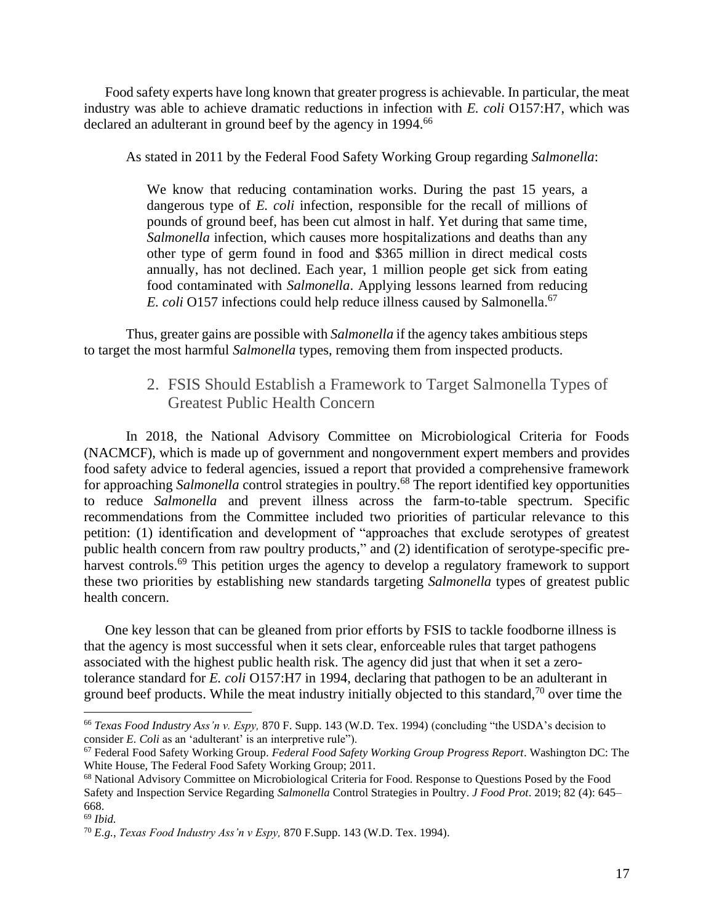Food safety experts have long known that greater progress is achievable. In particular, the meat industry was able to achieve dramatic reductions in infection with *E. coli* O157:H7, which was declared an adulterant in ground beef by the agency in 1994.<sup>66</sup>

As stated in 2011 by the Federal Food Safety Working Group regarding *Salmonella*:

We know that reducing contamination works. During the past 15 years, a dangerous type of *E. coli* infection, responsible for the recall of millions of pounds of ground beef, has been cut almost in half. Yet during that same time, *Salmonella* infection, which causes more hospitalizations and deaths than any other type of germ found in food and \$365 million in direct medical costs annually, has not declined. Each year, 1 million people get sick from eating food contaminated with *Salmonella*. Applying lessons learned from reducing *E. coli* O157 infections could help reduce illness caused by Salmonella. 67

<span id="page-17-0"></span>Thus, greater gains are possible with *Salmonella* if the agency takes ambitious steps to target the most harmful *Salmonella* types, removing them from inspected products.

#### 2. FSIS Should Establish a Framework to Target Salmonella Types of Greatest Public Health Concern

In 2018, the National Advisory Committee on Microbiological Criteria for Foods (NACMCF), which is made up of government and nongovernment expert members and provides food safety advice to federal agencies, issued a report that provided a comprehensive framework for approaching *Salmonella* control strategies in poultry.<sup>68</sup> The report identified key opportunities to reduce *Salmonella* and prevent illness across the farm-to-table spectrum. Specific recommendations from the Committee included two priorities of particular relevance to this petition: (1) identification and development of "approaches that exclude serotypes of greatest public health concern from raw poultry products," and (2) identification of serotype-specific preharvest controls.<sup>69</sup> This petition urges the agency to develop a regulatory framework to support these two priorities by establishing new standards targeting *Salmonella* types of greatest public health concern.

One key lesson that can be gleaned from prior efforts by FSIS to tackle foodborne illness is that the agency is most successful when it sets clear, enforceable rules that target pathogens associated with the highest public health risk. The agency did just that when it set a zerotolerance standard for *E. coli* O157:H7 in 1994, declaring that pathogen to be an adulterant in ground beef products. While the meat industry initially objected to this standard, $\frac{70}{10}$  over time the

<sup>66</sup> *Texas Food Industry Ass'n v. Espy,* 870 F. Supp. 143 (W.D. Tex. 1994) (concluding "the USDA's decision to consider *E. Coli* as an 'adulterant' is an interpretive rule").

<sup>67</sup> Federal Food Safety Working Group. *Federal Food Safety Working Group Progress Report*. Washington DC: The White House, The Federal Food Safety Working Group; 2011.

<sup>68</sup> National Advisory Committee on Microbiological Criteria for Food. Response to Questions Posed by the Food Safety and Inspection Service Regarding *Salmonella* Control Strategies in Poultry. *J Food Prot*. 2019; 82 (4): 645– 668.

<sup>69</sup> *Ibid.*

<sup>70</sup> *E.g.*, *Texas Food Industry Ass'n v Espy,* 870 F.Supp. 143 (W.D. Tex. 1994).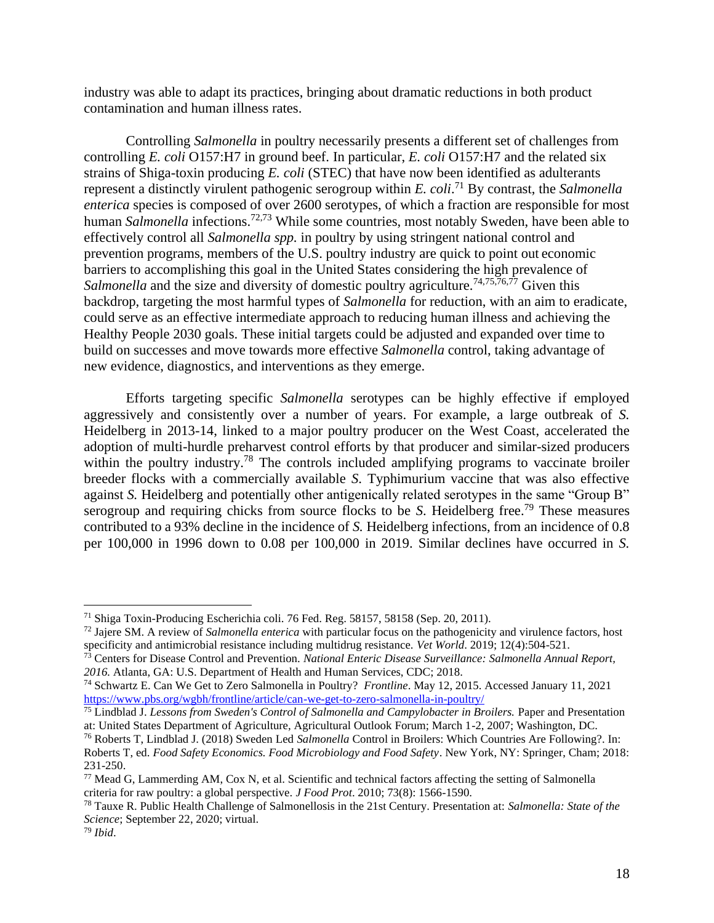industry was able to adapt its practices, bringing about dramatic reductions in both product contamination and human illness rates.

Controlling *Salmonella* in poultry necessarily presents a different set of challenges from controlling *E. coli* O157:H7 in ground beef. In particular, *E. coli* O157:H7 and the related six strains of Shiga-toxin producing *E. coli* (STEC) that have now been identified as adulterants represent a distinctly virulent pathogenic serogroup within *E. coli*. <sup>71</sup> By contrast, the *Salmonella enterica* species is composed of over 2600 serotypes, of which a fraction are responsible for most human *Salmonella* infections.72,73 While some countries, most notably Sweden, have been able to effectively control all *Salmonella spp.* in poultry by using stringent national control and prevention programs, members of the U.S. poultry industry are quick to point out economic barriers to accomplishing this goal in the United States considering the high prevalence of Salmonella and the size and diversity of domestic poultry agriculture.<sup>74,75,76,77</sup> Given this backdrop, targeting the most harmful types of *Salmonella* for reduction, with an aim to eradicate, could serve as an effective intermediate approach to reducing human illness and achieving the Healthy People 2030 goals. These initial targets could be adjusted and expanded over time to build on successes and move towards more effective *Salmonella* control, taking advantage of new evidence, diagnostics, and interventions as they emerge.

Efforts targeting specific *Salmonella* serotypes can be highly effective if employed aggressively and consistently over a number of years. For example, a large outbreak of *S.* Heidelberg in 2013-14, linked to a major poultry producer on the West Coast, accelerated the adoption of multi-hurdle preharvest control efforts by that producer and similar-sized producers within the poultry industry.<sup>78</sup> The controls included amplifying programs to vaccinate broiler breeder flocks with a commercially available *S*. Typhimurium vaccine that was also effective against *S.* Heidelberg and potentially other antigenically related serotypes in the same "Group B" serogroup and requiring chicks from source flocks to be *S*. Heidelberg free. <sup>79</sup> These measures contributed to a 93% decline in the incidence of *S.* Heidelberg infections, from an incidence of 0.8 per 100,000 in 1996 down to 0.08 per 100,000 in 2019. Similar declines have occurred in *S.*

<sup>71</sup> Shiga Toxin-Producing Escherichia coli. 76 Fed. Reg. 58157, 58158 (Sep. 20, 2011).

<sup>72</sup> Jajere SM. A review of *Salmonella enterica* with particular focus on the pathogenicity and virulence factors, host specificity and antimicrobial resistance including multidrug resistance. *Vet World*. 2019; 12(4):504-521.

<sup>73</sup> Centers for Disease Control and Prevention. *National Enteric Disease Surveillance: Salmonella Annual Report, 2016.* Atlanta, GA: U.S. Department of Health and Human Services, CDC; 2018.

<sup>74</sup> Schwartz E. Can We Get to Zero Salmonella in Poultry? *Frontline*. May 12, 2015. Accessed January 11, 2021 <https://www.pbs.org/wgbh/frontline/article/can-we-get-to-zero-salmonella-in-poultry/>

<sup>75</sup> Lindblad J. *Lessons from Sweden's Control of Salmonella and Campylobacter in Broilers.* Paper and Presentation at: United States Department of Agriculture, Agricultural Outlook Forum; March 1-2, 2007; Washington, DC.

<sup>76</sup> Roberts T, Lindblad J. (2018) Sweden Led *Salmonella* Control in Broilers: Which Countries Are Following?. In: Roberts T, ed. *Food Safety Economics. Food Microbiology and Food Safety*. New York, NY: Springer, Cham; 2018: 231-250.

<sup>77</sup> Mead G, Lammerding AM, Cox N, et al. Scientific and technical factors affecting the setting of Salmonella criteria for raw poultry: a global perspective. *J Food Prot*. 2010; 73(8): 1566-1590.

<sup>78</sup> Tauxe R. Public Health Challenge of Salmonellosis in the 21st Century. Presentation at: *Salmonella: State of the Science*; September 22, 2020; virtual.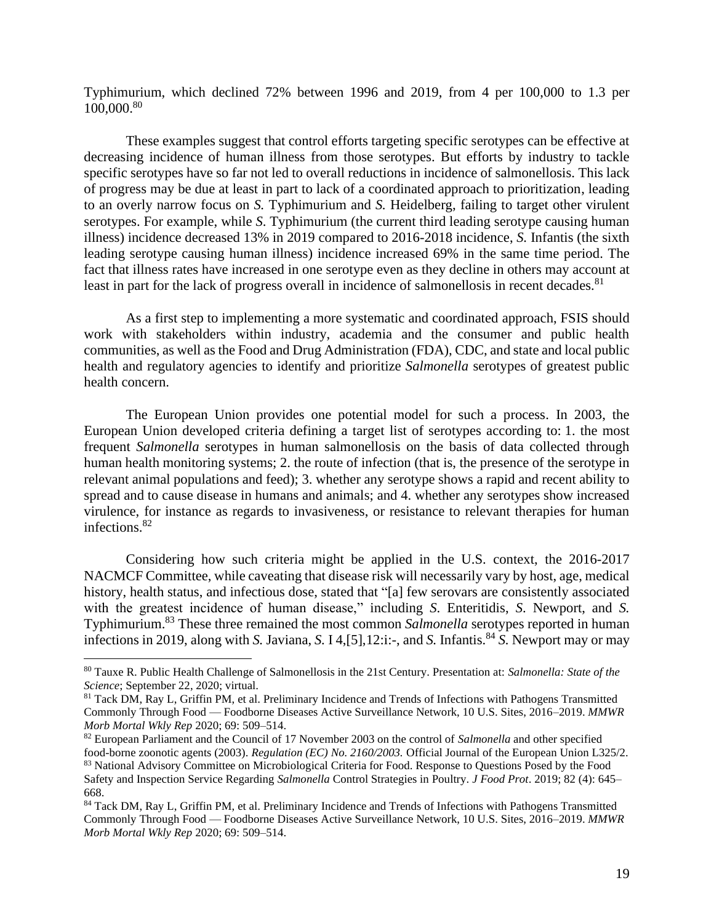Typhimurium, which declined 72% between 1996 and 2019, from 4 per 100,000 to 1.3 per 100,000.<sup>80</sup>

These examples suggest that control efforts targeting specific serotypes can be effective at decreasing incidence of human illness from those serotypes. But efforts by industry to tackle specific serotypes have so far not led to overall reductions in incidence of salmonellosis. This lack of progress may be due at least in part to lack of a coordinated approach to prioritization, leading to an overly narrow focus on *S.* Typhimurium and *S.* Heidelberg, failing to target other virulent serotypes. For example, while *S*. Typhimurium (the current third leading serotype causing human illness) incidence decreased 13% in 2019 compared to 2016-2018 incidence, *S.* Infantis (the sixth leading serotype causing human illness) incidence increased 69% in the same time period. The fact that illness rates have increased in one serotype even as they decline in others may account at least in part for the lack of progress overall in incidence of salmonellosis in recent decades.<sup>81</sup>

As a first step to implementing a more systematic and coordinated approach, FSIS should work with stakeholders within industry, academia and the consumer and public health communities, as well as the Food and Drug Administration (FDA), CDC, and state and local public health and regulatory agencies to identify and prioritize *Salmonella* serotypes of greatest public health concern.

The European Union provides one potential model for such a process. In 2003, the European Union developed criteria defining a target list of serotypes according to: 1. the most frequent *Salmonella* serotypes in human salmonellosis on the basis of data collected through human health monitoring systems; 2. the route of infection (that is, the presence of the serotype in relevant animal populations and feed); 3. whether any serotype shows a rapid and recent ability to spread and to cause disease in humans and animals; and 4. whether any serotypes show increased virulence, for instance as regards to invasiveness, or resistance to relevant therapies for human infections.<sup>82</sup>

Considering how such criteria might be applied in the U.S. context, the 2016-2017 NACMCF Committee, while caveating that disease risk will necessarily vary by host, age, medical history, health status, and infectious dose, stated that "[a] few serovars are consistently associated with the greatest incidence of human disease," including *S*. Enteritidis, *S*. Newport, and *S.* Typhimurium. <sup>83</sup> These three remained the most common *Salmonella* serotypes reported in human infections in 2019, along with *S.* Javiana, *S.* I 4, [5], 12:i:-, and *S.* Infantis.<sup>84</sup> *S.* Newport may or may

<sup>80</sup> Tauxe R. Public Health Challenge of Salmonellosis in the 21st Century. Presentation at: *Salmonella: State of the Science*; September 22, 2020; virtual.

<sup>81</sup> Tack DM, Ray L, Griffin PM, et al. Preliminary Incidence and Trends of Infections with Pathogens Transmitted Commonly Through Food — Foodborne Diseases Active Surveillance Network, 10 U.S. Sites, 2016–2019. *MMWR Morb Mortal Wkly Rep* 2020; 69: 509–514.

<sup>82</sup> European Parliament and the Council of 17 November 2003 on the control of *Salmonella* and other specified food-borne zoonotic agents (2003). *Regulation (EC) No. 2160/2003.* Official Journal of the European Union L325/2. 83 National Advisory Committee on Microbiological Criteria for Food. Response to Questions Posed by the Food Safety and Inspection Service Regarding *Salmonella* Control Strategies in Poultry. *J Food Prot*. 2019; 82 (4): 645– 668.

<sup>84</sup> Tack DM, Ray L, Griffin PM, et al. Preliminary Incidence and Trends of Infections with Pathogens Transmitted Commonly Through Food — Foodborne Diseases Active Surveillance Network, 10 U.S. Sites, 2016–2019. *MMWR Morb Mortal Wkly Rep* 2020; 69: 509–514.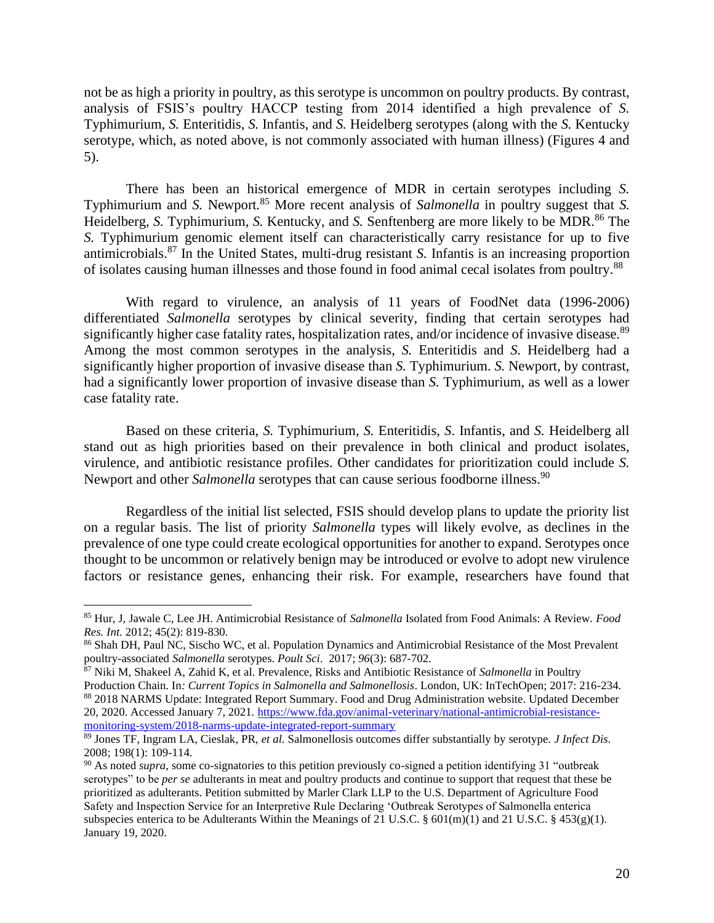not be as high a priority in poultry, as this serotype is uncommon on poultry products. By contrast, analysis of FSIS's poultry HACCP testing from 2014 identified a high prevalence of *S.* Typhimurium, *S.* Enteritidis, *S.* Infantis, and *S.* Heidelberg serotypes (along with the *S.* Kentucky serotype, which, as noted above, is not commonly associated with human illness) (Figures 4 and 5).

There has been an historical emergence of MDR in certain serotypes including *S.* Typhimurium and *S.* Newport*.* <sup>85</sup> More recent analysis of *Salmonella* in poultry suggest that *S.*  Heidelberg, *S.* Typhimurium, *S.* Kentucky, and *S.* Senftenberg are more likely to be MDR. <sup>86</sup> The *S.* Typhimurium genomic element itself can characteristically carry resistance for up to five antimicrobials.<sup>87</sup> In the United States, multi-drug resistant *S.* Infantis is an increasing proportion of isolates causing human illnesses and those found in food animal cecal isolates from poultry.<sup>88</sup>

With regard to virulence, an analysis of 11 years of FoodNet data (1996-2006) differentiated *Salmonella* serotypes by clinical severity, finding that certain serotypes had significantly higher case fatality rates, hospitalization rates, and/or incidence of invasive disease.<sup>89</sup> Among the most common serotypes in the analysis, *S.* Enteritidis and *S.* Heidelberg had a significantly higher proportion of invasive disease than *S.* Typhimurium. *S.* Newport, by contrast, had a significantly lower proportion of invasive disease than *S.* Typhimurium, as well as a lower case fatality rate.

Based on these criteria, *S.* Typhimurium, *S.* Enteritidis, *S*. Infantis, and *S.* Heidelberg all stand out as high priorities based on their prevalence in both clinical and product isolates, virulence, and antibiotic resistance profiles. Other candidates for prioritization could include *S.* Newport and other *Salmonella* serotypes that can cause serious foodborne illness. 90

Regardless of the initial list selected, FSIS should develop plans to update the priority list on a regular basis. The list of priority *Salmonella* types will likely evolve, as declines in the prevalence of one type could create ecological opportunities for another to expand. Serotypes once thought to be uncommon or relatively benign may be introduced or evolve to adopt new virulence factors or resistance genes, enhancing their risk. For example, researchers have found that

<sup>85</sup> Hur, J, Jawale C, Lee JH. Antimicrobial Resistance of *Salmonella* Isolated from Food Animals: A Review. *Food Res. Int.* 2012; 45(2): 819-830.

<sup>86</sup> Shah DH, Paul NC, Sischo WC, et al. Population Dynamics and Antimicrobial Resistance of the Most Prevalent poultry-associated *Salmonella* serotypes. *Poult Sci*. 2017; *96*(3): 687-702.

<sup>87</sup> Niki M, Shakeel A, Zahid K, et al. Prevalence, Risks and Antibiotic Resistance of *Salmonella* in Poultry Production Chain. In*: Current Topics in Salmonella and Salmonellosis*. London, UK: InTechOpen; 2017: 216-234. 88 2018 NARMS Update: Integrated Report Summary. Food and Drug Administration website. Updated December 20, 2020. Accessed January 7, 2021. [https://www.fda.gov/animal-veterinary/national-antimicrobial-resistance](https://www.fda.gov/animal-veterinary/national-antimicrobial-resistance-monitoring-system/2018-narms-update-integrated-report-summary)[monitoring-system/2018-narms-update-integrated-report-summary](https://www.fda.gov/animal-veterinary/national-antimicrobial-resistance-monitoring-system/2018-narms-update-integrated-report-summary)

<sup>89</sup> Jones TF, Ingram LA, Cieslak, PR, *et al.* Salmonellosis outcomes differ substantially by serotype. *J Infect Dis*. 2008; 198(1): 109-114.

<sup>&</sup>lt;sup>90</sup> As noted *supra*, some co-signatories to this petition previously co-signed a petition identifying 31 "outbreak serotypes" to be *per se* adulterants in meat and poultry products and continue to support that request that these be prioritized as adulterants. Petition submitted by Marler Clark LLP to the U.S. Department of Agriculture Food Safety and Inspection Service for an Interpretive Rule Declaring 'Outbreak Serotypes of Salmonella enterica subspecies enterica to be Adulterants Within the Meanings of 21 U.S.C. § 601(m)(1) and 21 U.S.C. § 453(g)(1). January 19, 2020.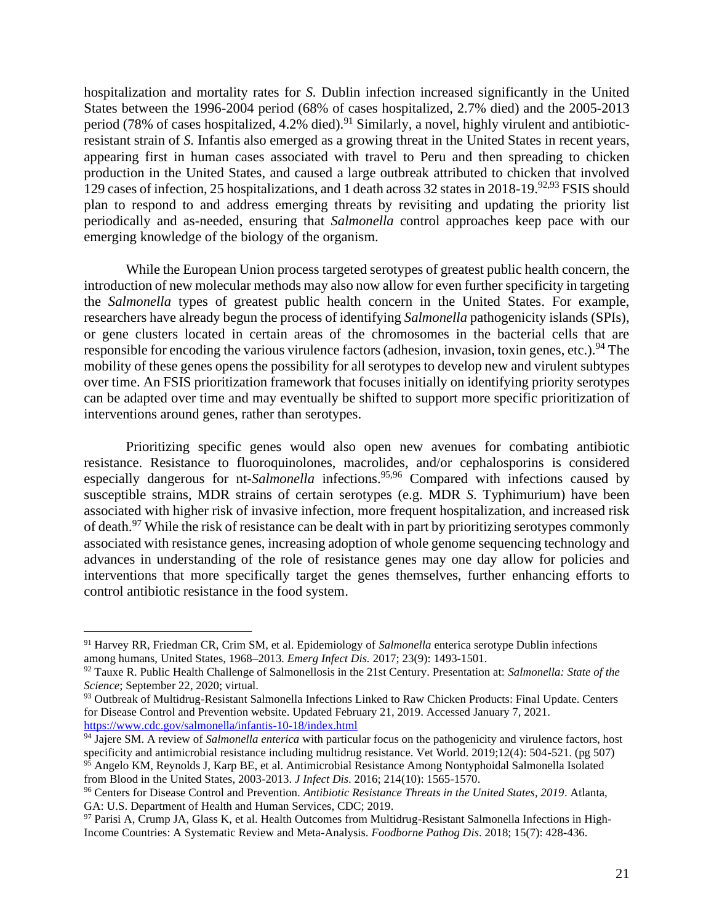hospitalization and mortality rates for *S.* Dublin infection increased significantly in the United States between the 1996-2004 period (68% of cases hospitalized, 2.7% died) and the 2005-2013 period (78% of cases hospitalized, 4.2% died).<sup>91</sup> Similarly, a novel, highly virulent and antibioticresistant strain of *S.* Infantis also emerged as a growing threat in the United States in recent years, appearing first in human cases associated with travel to Peru and then spreading to chicken production in the United States, and caused a large outbreak attributed to chicken that involved 129 cases of infection, 25 hospitalizations, and 1 death across 32 states in 2018-19.<sup>92,93</sup> FSIS should plan to respond to and address emerging threats by revisiting and updating the priority list periodically and as-needed, ensuring that *Salmonella* control approaches keep pace with our emerging knowledge of the biology of the organism.

While the European Union process targeted serotypes of greatest public health concern, the introduction of new molecular methods may also now allow for even further specificity in targeting the *Salmonella* types of greatest public health concern in the United States. For example, researchers have already begun the process of identifying *Salmonella* pathogenicity islands (SPIs), or gene clusters located in certain areas of the chromosomes in the bacterial cells that are responsible for encoding the various virulence factors (adhesion, invasion, toxin genes, etc.).<sup>94</sup> The mobility of these genes opens the possibility for all serotypes to develop new and virulent subtypes over time. An FSIS prioritization framework that focuses initially on identifying priority serotypes can be adapted over time and may eventually be shifted to support more specific prioritization of interventions around genes, rather than serotypes.

Prioritizing specific genes would also open new avenues for combating antibiotic resistance. Resistance to fluoroquinolones, macrolides, and/or cephalosporins is considered especially dangerous for nt-*Salmonella* infections. 95,96 Compared with infections caused by susceptible strains, MDR strains of certain serotypes (e.g. MDR *S*. Typhimurium) have been associated with higher risk of invasive infection, more frequent hospitalization, and increased risk of death.<sup>97</sup> While the risk of resistance can be dealt with in part by prioritizing serotypes commonly associated with resistance genes, increasing adoption of whole genome sequencing technology and advances in understanding of the role of resistance genes may one day allow for policies and interventions that more specifically target the genes themselves, further enhancing efforts to control antibiotic resistance in the food system.

<sup>91</sup> Harvey RR, Friedman CR, Crim SM, et al. Epidemiology of *Salmonella* enterica serotype Dublin infections among humans, United States, 1968–2013*. Emerg Infect Dis.* 2017; 23(9): 1493-1501.

<sup>92</sup> Tauxe R. Public Health Challenge of Salmonellosis in the 21st Century. Presentation at: *Salmonella: State of the Science*; September 22, 2020; virtual.

<sup>93</sup> Outbreak of Multidrug-Resistant Salmonella Infections Linked to Raw Chicken Products: Final Update. Centers for Disease Control and Prevention website. Updated February 21, 2019. Accessed January 7, 2021. <https://www.cdc.gov/salmonella/infantis-10-18/index.html>

<sup>&</sup>lt;sup>94</sup> Jajere SM. A review of *Salmonella enterica* with particular focus on the pathogenicity and virulence factors, host specificity and antimicrobial resistance including multidrug resistance. Vet World. 2019;12(4): 504-521. (pg 507) <sup>95</sup> Angelo KM, Reynolds J, Karp BE, et al. Antimicrobial Resistance Among Nontyphoidal Salmonella Isolated from Blood in the United States, 2003-2013. *J Infect Dis*. 2016; 214(10): 1565-1570.

<sup>96</sup> Centers for Disease Control and Prevention. *Antibiotic Resistance Threats in the United States, 2019*. Atlanta, GA: U.S. Department of Health and Human Services, CDC; 2019.

<sup>97</sup> Parisi A, Crump JA, Glass K, et al. Health Outcomes from Multidrug-Resistant Salmonella Infections in High-Income Countries: A Systematic Review and Meta-Analysis. *Foodborne Pathog Dis*. 2018; 15(7): 428-436.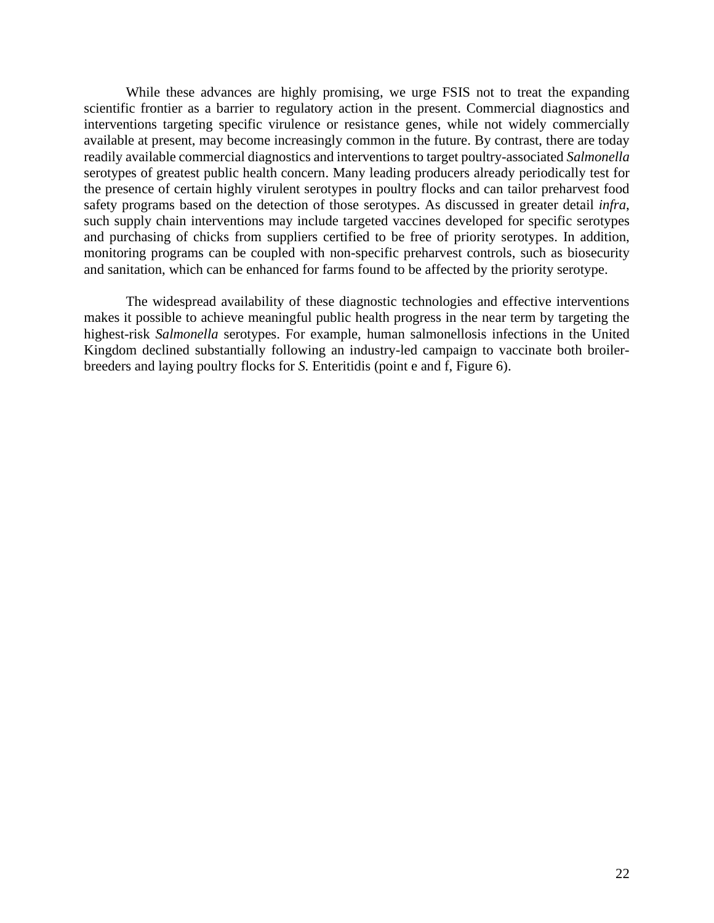While these advances are highly promising, we urge FSIS not to treat the expanding scientific frontier as a barrier to regulatory action in the present. Commercial diagnostics and interventions targeting specific virulence or resistance genes, while not widely commercially available at present, may become increasingly common in the future. By contrast, there are today readily available commercial diagnostics and interventions to target poultry-associated *Salmonella*  serotypes of greatest public health concern. Many leading producers already periodically test for the presence of certain highly virulent serotypes in poultry flocks and can tailor preharvest food safety programs based on the detection of those serotypes. As discussed in greater detail *infra*, such supply chain interventions may include targeted vaccines developed for specific serotypes and purchasing of chicks from suppliers certified to be free of priority serotypes. In addition, monitoring programs can be coupled with non-specific preharvest controls, such as biosecurity and sanitation, which can be enhanced for farms found to be affected by the priority serotype.

The widespread availability of these diagnostic technologies and effective interventions makes it possible to achieve meaningful public health progress in the near term by targeting the highest-risk *Salmonella* serotypes. For example, human salmonellosis infections in the United Kingdom declined substantially following an industry-led campaign to vaccinate both broilerbreeders and laying poultry flocks for *S.* Enteritidis (point e and f, Figure 6).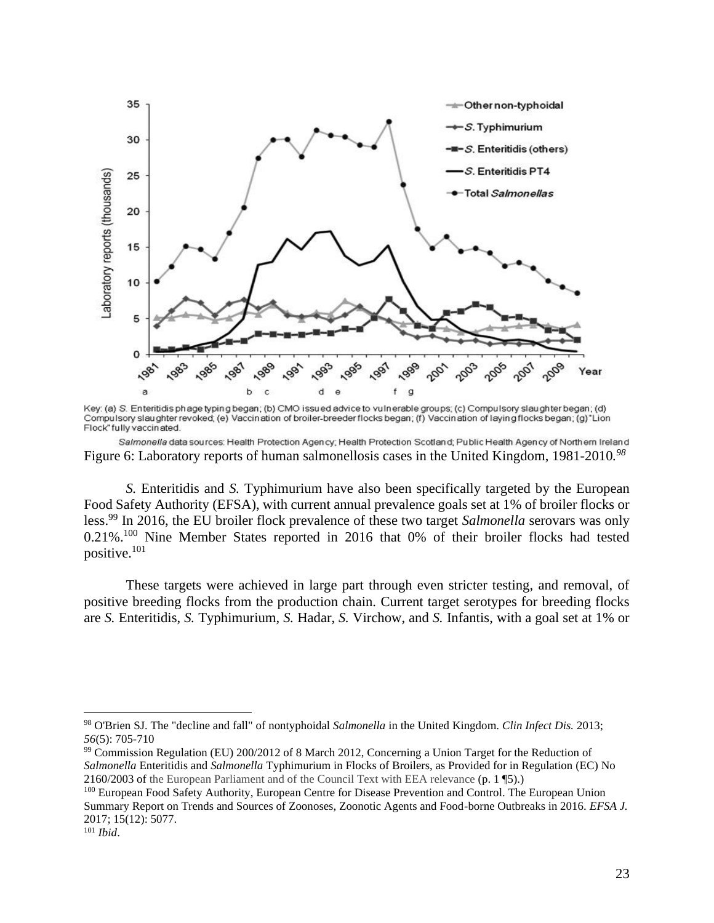

Key: (a) S. Enteritidis phage typing began; (b) CMO issued advice to vulnerable groups; (c) Compulsory slaughter began; (d) Compulsory slaughter revoked; (e) Vaccination of broiler-breeder flocks began; (f) Vaccination of laying flocks began; (g) "Lion Flock" fully vaccinated.

Salmonella data sources: Health Protection Agency; Health Protection Scotland; Public Health Agency of Northern Ireland Figure 6: Laboratory reports of human salmonellosis cases in the United Kingdom, 1981-2010*. 98*

*S.* Enteritidis and *S.* Typhimurium have also been specifically targeted by the European Food Safety Authority (EFSA), with current annual prevalence goals set at 1% of broiler flocks or less. <sup>99</sup> In 2016, the EU broiler flock prevalence of these two target *Salmonella* serovars was only 0.21%.<sup>100</sup> Nine Member States reported in 2016 that 0% of their broiler flocks had tested positive.<sup>101</sup>

These targets were achieved in large part through even stricter testing, and removal, of positive breeding flocks from the production chain. Current target serotypes for breeding flocks are *S.* Enteritidis, *S.* Typhimurium, *S.* Hadar, *S.* Virchow, and *S.* Infantis, with a goal set at 1% or

<sup>98</sup> O'Brien SJ. The "decline and fall" of nontyphoidal *Salmonella* in the United Kingdom. *Clin Infect Dis.* 2013; *56*(5): 705-710

<sup>99</sup> Commission Regulation (EU) 200/2012 of 8 March 2012, Concerning a Union Target for the Reduction of *Salmonella* Enteritidis and *Salmonella* Typhimurium in Flocks of Broilers, as Provided for in Regulation (EC) No 2160/2003 of the European Parliament and of the Council Text with EEA relevance (p. 1 ¶5).)

<sup>&</sup>lt;sup>100</sup> European Food Safety Authority, European Centre for Disease Prevention and Control. The European Union Summary Report on Trends and Sources of Zoonoses, Zoonotic Agents and Food-borne Outbreaks in 2016. *EFSA J.*  2017; 15(12): 5077.

<sup>101</sup> *Ibid*.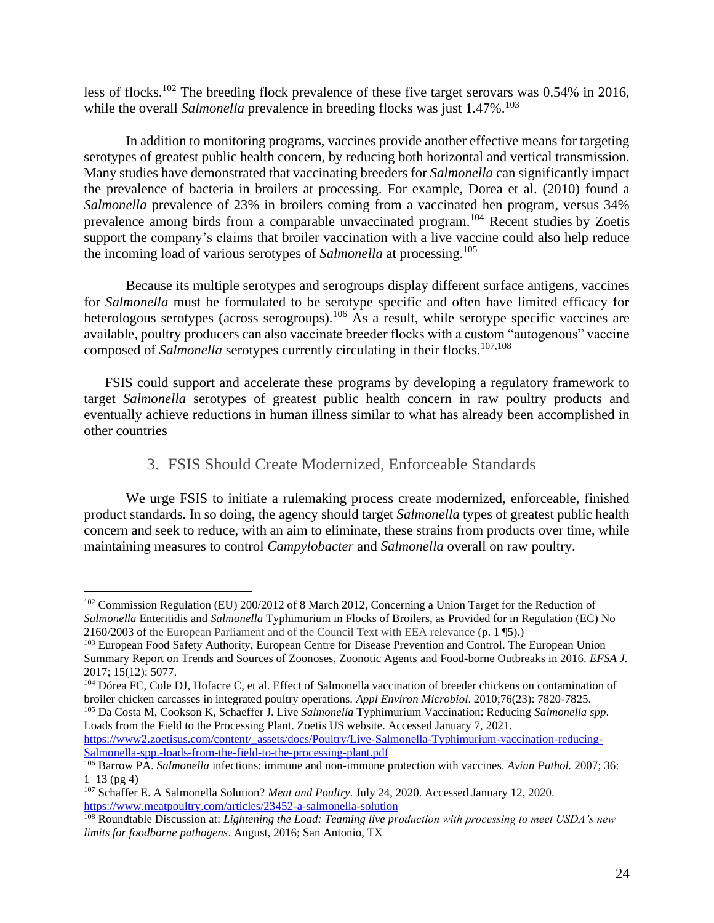less of flocks.<sup>102</sup> The breeding flock prevalence of these five target serovars was 0.54% in 2016, while the overall *Salmonella* prevalence in breeding flocks was just 1.47%.<sup>103</sup>

In addition to monitoring programs, vaccines provide another effective means for targeting serotypes of greatest public health concern, by reducing both horizontal and vertical transmission. Many studies have demonstrated that vaccinating breeders for *Salmonella* can significantly impact the prevalence of bacteria in broilers at processing. For example, Dorea et al. (2010) found a *Salmonella* prevalence of 23% in broilers coming from a vaccinated hen program, versus 34% prevalence among birds from a comparable unvaccinated program.<sup>104</sup> Recent studies by Zoetis support the company's claims that broiler vaccination with a live vaccine could also help reduce the incoming load of various serotypes of *Salmonella* at processing.<sup>105</sup>

Because its multiple serotypes and serogroups display different surface antigens*,* vaccines for *Salmonella* must be formulated to be serotype specific and often have limited efficacy for heterologous serotypes (across serogroups).<sup>106</sup> As a result, while serotype specific vaccines are available, poultry producers can also vaccinate breeder flocks with a custom "autogenous" vaccine composed of *Salmonella* serotypes currently circulating in their flocks. 107,108

FSIS could support and accelerate these programs by developing a regulatory framework to target *Salmonella* serotypes of greatest public health concern in raw poultry products and eventually achieve reductions in human illness similar to what has already been accomplished in other countries

#### 3. FSIS Should Create Modernized, Enforceable Standards

<span id="page-24-0"></span>We urge FSIS to initiate a rulemaking process create modernized, enforceable, finished product standards. In so doing, the agency should target *Salmonella* types of greatest public health concern and seek to reduce, with an aim to eliminate, these strains from products over time, while maintaining measures to control *Campylobacter* and *Salmonella* overall on raw poultry.

<sup>105</sup> Da Costa M, Cookson K, Schaeffer J. Live *Salmonella* Typhimurium Vaccination: Reducing *Salmonella spp*. Loads from the Field to the Processing Plant. Zoetis US website. Accessed January 7, 2021.

[https://www2.zoetisus.com/content/\\_assets/docs/Poultry/Live-Salmonella-Typhimurium-vaccination-reducing-](https://www2.zoetisus.com/content/_assets/docs/Poultry/Live-Salmonella-Typhimurium-vaccination-reducing-Salmonella-spp.-loads-from-the-field-to-the-processing-plant.pdf)[Salmonella-spp.-loads-from-the-field-to-the-processing-plant.pdf](https://www2.zoetisus.com/content/_assets/docs/Poultry/Live-Salmonella-Typhimurium-vaccination-reducing-Salmonella-spp.-loads-from-the-field-to-the-processing-plant.pdf) 

<sup>&</sup>lt;sup>102</sup> Commission Regulation (EU) 200/2012 of 8 March 2012, Concerning a Union Target for the Reduction of *Salmonella* Enteritidis and *Salmonella* Typhimurium in Flocks of Broilers, as Provided for in Regulation (EC) No 2160/2003 of the European Parliament and of the Council Text with EEA relevance (p. 1 ¶5).)

<sup>&</sup>lt;sup>103</sup> European Food Safety Authority, European Centre for Disease Prevention and Control. The European Union Summary Report on Trends and Sources of Zoonoses, Zoonotic Agents and Food-borne Outbreaks in 2016. *EFSA J.*  2017; 15(12): 5077.

<sup>&</sup>lt;sup>104</sup> Dórea FC, Cole DJ, Hofacre C, et al. Effect of Salmonella vaccination of breeder chickens on contamination of broiler chicken carcasses in integrated poultry operations. *Appl Environ Microbiol*. 2010;76(23): 7820-7825.

<sup>106</sup> Barrow PA. *Salmonella* infections: immune and non-immune protection with vaccines. *Avian Pathol.* 2007; 36:  $1-13$  (pg 4)

<sup>107</sup> Schaffer E. A Salmonella Solution? *Meat and Poultry*. July 24, 2020. Accessed January 12, 2020. <https://www.meatpoultry.com/articles/23452-a-salmonella-solution>

<sup>108</sup> Roundtable Discussion at: *Lightening the Load: Teaming live production with processing to meet USDA's new limits for foodborne pathogens*. August, 2016; San Antonio, TX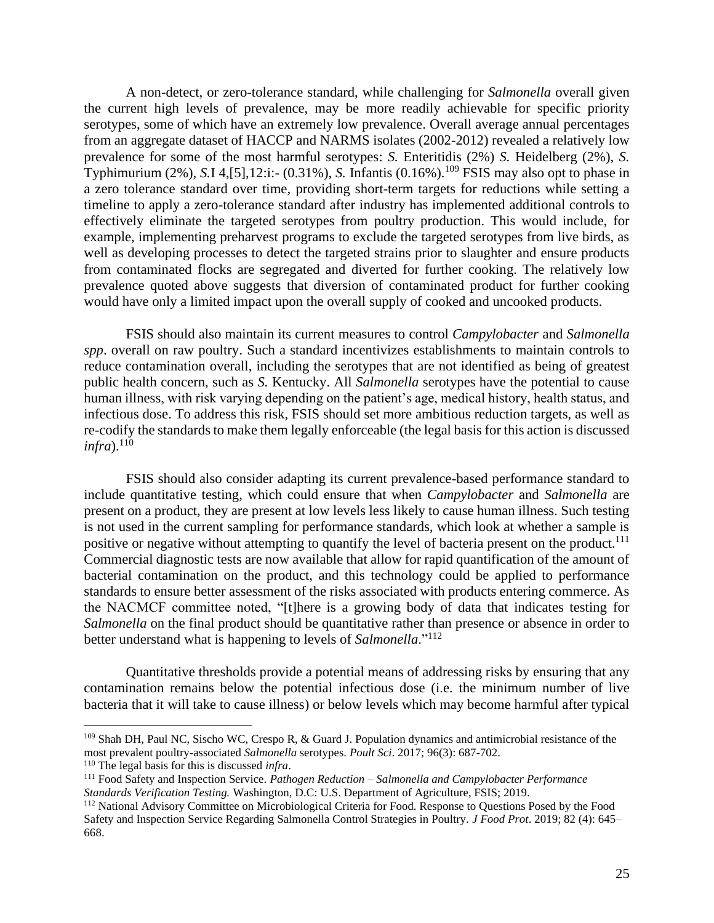A non-detect, or zero-tolerance standard, while challenging for *Salmonella* overall given the current high levels of prevalence, may be more readily achievable for specific priority serotypes, some of which have an extremely low prevalence. Overall average annual percentages from an aggregate dataset of HACCP and NARMS isolates (2002-2012) revealed a relatively low prevalence for some of the most harmful serotypes: *S.* Enteritidis (2%) *S.* Heidelberg (2%), *S.* Typhimurium (2%), *S.*I 4,[5],12:i:- (0.31%), *S.* Infantis (0.16%). <sup>109</sup> FSIS may also opt to phase in a zero tolerance standard over time, providing short-term targets for reductions while setting a timeline to apply a zero-tolerance standard after industry has implemented additional controls to effectively eliminate the targeted serotypes from poultry production. This would include, for example, implementing preharvest programs to exclude the targeted serotypes from live birds, as well as developing processes to detect the targeted strains prior to slaughter and ensure products from contaminated flocks are segregated and diverted for further cooking. The relatively low prevalence quoted above suggests that diversion of contaminated product for further cooking would have only a limited impact upon the overall supply of cooked and uncooked products.

FSIS should also maintain its current measures to control *Campylobacter* and *Salmonella spp*. overall on raw poultry. Such a standard incentivizes establishments to maintain controls to reduce contamination overall, including the serotypes that are not identified as being of greatest public health concern, such as *S.* Kentucky. All *Salmonella* serotypes have the potential to cause human illness, with risk varying depending on the patient's age, medical history, health status, and infectious dose. To address this risk, FSIS should set more ambitious reduction targets, as well as re-codify the standards to make them legally enforceable (the legal basis for this action is discussed *infra*). 110

FSIS should also consider adapting its current prevalence-based performance standard to include quantitative testing, which could ensure that when *Campylobacter* and *Salmonella* are present on a product, they are present at low levels less likely to cause human illness. Such testing is not used in the current sampling for performance standards, which look at whether a sample is positive or negative without attempting to quantify the level of bacteria present on the product.<sup>111</sup> Commercial diagnostic tests are now available that allow for rapid quantification of the amount of bacterial contamination on the product, and this technology could be applied to performance standards to ensure better assessment of the risks associated with products entering commerce. As the NACMCF committee noted, "[t]here is a growing body of data that indicates testing for *Salmonella* on the final product should be quantitative rather than presence or absence in order to better understand what is happening to levels of *Salmonella*."<sup>112</sup>

Quantitative thresholds provide a potential means of addressing risks by ensuring that any contamination remains below the potential infectious dose (i.e. the minimum number of live bacteria that it will take to cause illness) or below levels which may become harmful after typical

<sup>109</sup> Shah DH, Paul NC, Sischo WC, Crespo R, & Guard J. Population dynamics and antimicrobial resistance of the most prevalent poultry-associated *Salmonella* serotypes. *Poult Sci*. 2017; 96(3): 687-702.

<sup>110</sup> The legal basis for this is discussed *infra*.

<sup>111</sup> Food Safety and Inspection Service. *Pathogen Reduction – Salmonella and Campylobacter Performance Standards Verification Testing.* Washington, D.C: U.S. Department of Agriculture, FSIS; 2019.

<sup>112</sup> National Advisory Committee on Microbiological Criteria for Food. Response to Questions Posed by the Food Safety and Inspection Service Regarding Salmonella Control Strategies in Poultry. *J Food Prot*. 2019; 82 (4): 645– 668.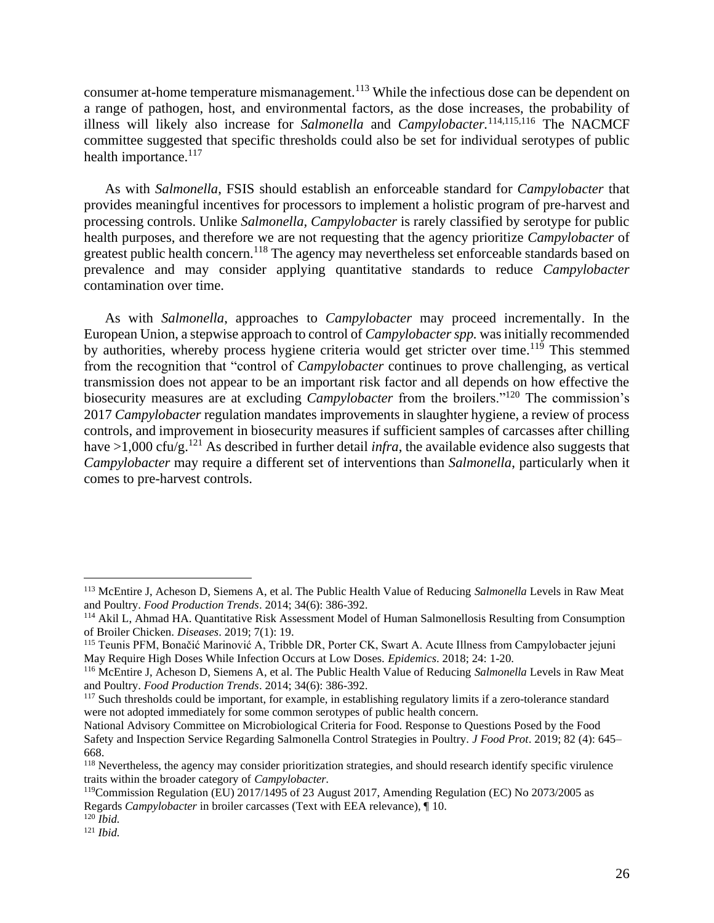consumer at-home temperature mismanagement.<sup>113</sup> While the infectious dose can be dependent on a range of pathogen, host, and environmental factors, as the dose increases, the probability of illness will likely also increase for *Salmonella* and *Campylobacter.* 114,115,116 The NACMCF committee suggested that specific thresholds could also be set for individual serotypes of public health importance.<sup>117</sup>

As with *Salmonella*, FSIS should establish an enforceable standard for *Campylobacter* that provides meaningful incentives for processors to implement a holistic program of pre-harvest and processing controls. Unlike *Salmonella, Campylobacter* is rarely classified by serotype for public health purposes, and therefore we are not requesting that the agency prioritize *Campylobacter* of greatest public health concern.<sup>118</sup> The agency may nevertheless set enforceable standards based on prevalence and may consider applying quantitative standards to reduce *Campylobacter*  contamination over time.

As with *Salmonella*, approaches to *Campylobacter* may proceed incrementally. In the European Union, a stepwise approach to control of *Campylobacter spp.* was initially recommended by authorities, whereby process hygiene criteria would get stricter over time.<sup>119</sup> This stemmed from the recognition that "control of *Campylobacter* continues to prove challenging, as vertical transmission does not appear to be an important risk factor and all depends on how effective the biosecurity measures are at excluding *Campylobacter* from the broilers."<sup>120</sup> The commission's 2017 *Campylobacter* regulation mandates improvements in slaughter hygiene, a review of process controls, and improvement in biosecurity measures if sufficient samples of carcasses after chilling have  $>1,000$  cfu/g.<sup>121</sup> As described in further detail *infra*, the available evidence also suggests that *Campylobacter* may require a different set of interventions than *Salmonella*, particularly when it comes to pre-harvest controls.

<sup>113</sup> McEntire J, Acheson D, Siemens A, et al. The Public Health Value of Reducing *Salmonella* Levels in Raw Meat and Poultry. *Food Production Trends*. 2014; 34(6): 386-392.

<sup>114</sup> Akil L, Ahmad HA. Quantitative Risk Assessment Model of Human Salmonellosis Resulting from Consumption of Broiler Chicken. *Diseases*. 2019; 7(1): 19.

<sup>115</sup> Teunis PFM, Bonačić Marinović A, Tribble DR, Porter CK, Swart A. Acute Illness from Campylobacter jejuni May Require High Doses While Infection Occurs at Low Doses. *Epidemics*. 2018; 24: 1-20.

<sup>116</sup> McEntire J, Acheson D, Siemens A, et al. The Public Health Value of Reducing *Salmonella* Levels in Raw Meat and Poultry. *Food Production Trends*. 2014; 34(6): 386-392.

<sup>&</sup>lt;sup>117</sup> Such thresholds could be important, for example, in establishing regulatory limits if a zero-tolerance standard were not adopted immediately for some common serotypes of public health concern.

National Advisory Committee on Microbiological Criteria for Food. Response to Questions Posed by the Food Safety and Inspection Service Regarding Salmonella Control Strategies in Poultry. *J Food Prot*. 2019; 82 (4): 645– 668.

<sup>&</sup>lt;sup>118</sup> Nevertheless, the agency may consider prioritization strategies, and should research identify specific virulence traits within the broader category of *Campylobacter.*

<sup>119</sup>Commission Regulation (EU) 2017/1495 of 23 August 2017, Amending Regulation (EC) No 2073/2005 as Regards *Campylobacter* in broiler carcasses (Text with EEA relevance), ¶ 10.

<sup>120</sup> *Ibid.*

<sup>121</sup> *Ibid.*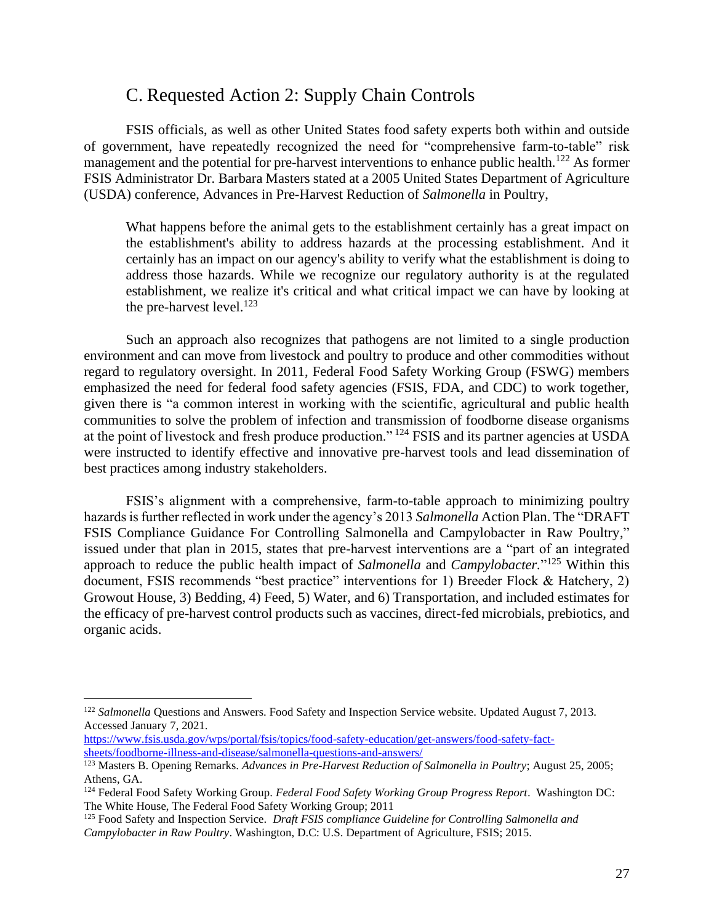## C. Requested Action 2: Supply Chain Controls

<span id="page-27-0"></span>FSIS officials, as well as other United States food safety experts both within and outside of government, have repeatedly recognized the need for "comprehensive farm-to-table" risk management and the potential for pre-harvest interventions to enhance public health.<sup>122</sup> As former FSIS Administrator Dr. Barbara Masters stated at a 2005 United States Department of Agriculture (USDA) conference, Advances in Pre-Harvest Reduction of *Salmonella* in Poultry,

What happens before the animal gets to the establishment certainly has a great impact on the establishment's ability to address hazards at the processing establishment. And it certainly has an impact on our agency's ability to verify what the establishment is doing to address those hazards. While we recognize our regulatory authority is at the regulated establishment, we realize it's critical and what critical impact we can have by looking at the pre-harvest level. $123$ 

Such an approach also recognizes that pathogens are not limited to a single production environment and can move from livestock and poultry to produce and other commodities without regard to regulatory oversight. In 2011, Federal Food Safety Working Group (FSWG) members emphasized the need for federal food safety agencies (FSIS, FDA, and CDC) to work together, given there is "a common interest in working with the scientific, agricultural and public health communities to solve the problem of infection and transmission of foodborne disease organisms at the point of livestock and fresh produce production." <sup>124</sup> FSIS and its partner agencies at USDA were instructed to identify effective and innovative pre-harvest tools and lead dissemination of best practices among industry stakeholders.

FSIS's alignment with a comprehensive, farm-to-table approach to minimizing poultry hazards is further reflected in work under the agency's 2013 *Salmonella* Action Plan. The "DRAFT FSIS Compliance Guidance For Controlling Salmonella and Campylobacter in Raw Poultry," issued under that plan in 2015, states that pre-harvest interventions are a "part of an integrated approach to reduce the public health impact of *Salmonella* and *Campylobacter.*" <sup>125</sup> Within this document, FSIS recommends "best practice" interventions for 1) Breeder Flock & Hatchery, 2) Growout House, 3) Bedding, 4) Feed, 5) Water, and 6) Transportation, and included estimates for the efficacy of pre-harvest control products such as vaccines, direct-fed microbials, prebiotics, and organic acids.

[https://www.fsis.usda.gov/wps/portal/fsis/topics/food-safety-education/get-answers/food-safety-fact](https://www.fsis.usda.gov/wps/portal/fsis/topics/food-safety-education/get-answers/food-safety-fact-sheets/foodborne-illness-and-disease/salmonella-questions-and-answers/)[sheets/foodborne-illness-and-disease/salmonella-questions-and-answers/](https://www.fsis.usda.gov/wps/portal/fsis/topics/food-safety-education/get-answers/food-safety-fact-sheets/foodborne-illness-and-disease/salmonella-questions-and-answers/)

<sup>&</sup>lt;sup>122</sup> Salmonella Questions and Answers. Food Safety and Inspection Service website. Updated August 7, 2013. Accessed January 7, 2021.

<sup>&</sup>lt;sup>123</sup> Masters B. Opening Remarks. *Advances in Pre-Harvest Reduction of Salmonella in Poultry*; August 25, 2005; Athens, GA.

<sup>124</sup> Federal Food Safety Working Group. *Federal Food Safety Working Group Progress Report*. Washington DC: The White House, The Federal Food Safety Working Group; 2011

<sup>125</sup> Food Safety and Inspection Service. *Draft FSIS compliance Guideline for Controlling Salmonella and Campylobacter in Raw Poultry*. Washington, D.C: U.S. Department of Agriculture, FSIS; 2015.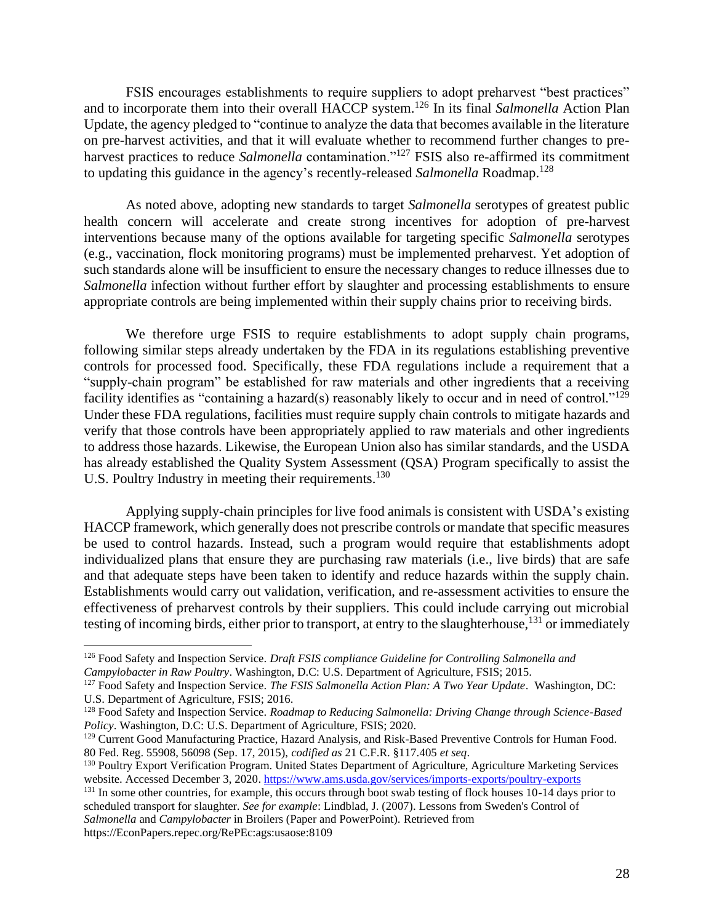FSIS encourages establishments to require suppliers to adopt preharvest "best practices" and to incorporate them into their overall HACCP system.<sup>126</sup> In its final *Salmonella* Action Plan Update, the agency pledged to "continue to analyze the data that becomes available in the literature on pre-harvest activities, and that it will evaluate whether to recommend further changes to preharvest practices to reduce *Salmonella* contamination."<sup>127</sup> FSIS also re-affirmed its commitment to updating this guidance in the agency's recently-released *Salmonella* Roadmap.<sup>128</sup>

As noted above, adopting new standards to target *Salmonella* serotypes of greatest public health concern will accelerate and create strong incentives for adoption of pre-harvest interventions because many of the options available for targeting specific *Salmonella* serotypes (e.g., vaccination, flock monitoring programs) must be implemented preharvest. Yet adoption of such standards alone will be insufficient to ensure the necessary changes to reduce illnesses due to *Salmonella* infection without further effort by slaughter and processing establishments to ensure appropriate controls are being implemented within their supply chains prior to receiving birds.

We therefore urge FSIS to require establishments to adopt supply chain programs, following similar steps already undertaken by the FDA in its regulations establishing preventive controls for processed food. Specifically, these FDA regulations include a requirement that a "supply-chain program" be established for raw materials and other ingredients that a receiving facility identifies as "containing a hazard(s) reasonably likely to occur and in need of control."<sup>129</sup> Under these FDA regulations, facilities must require supply chain controls to mitigate hazards and verify that those controls have been appropriately applied to raw materials and other ingredients to address those hazards. Likewise, the European Union also has similar standards, and the USDA has already established the Quality System Assessment (QSA) Program specifically to assist the U.S. Poultry Industry in meeting their requirements.<sup>130</sup>

Applying supply-chain principles for live food animals is consistent with USDA's existing HACCP framework, which generally does not prescribe controls or mandate that specific measures be used to control hazards. Instead, such a program would require that establishments adopt individualized plans that ensure they are purchasing raw materials (i.e., live birds) that are safe and that adequate steps have been taken to identify and reduce hazards within the supply chain. Establishments would carry out validation, verification, and re-assessment activities to ensure the effectiveness of preharvest controls by their suppliers. This could include carrying out microbial testing of incoming birds, either prior to transport, at entry to the slaughterhouse,<sup>131</sup> or immediately

<sup>126</sup> Food Safety and Inspection Service. *Draft FSIS compliance Guideline for Controlling Salmonella and Campylobacter in Raw Poultry*. Washington, D.C: U.S. Department of Agriculture, FSIS; 2015.

<sup>127</sup> Food Safety and Inspection Service. *The FSIS Salmonella Action Plan: A Two Year Update*. Washington, DC: U.S. Department of Agriculture, FSIS; 2016.

<sup>128</sup> Food Safety and Inspection Service. *Roadmap to Reducing Salmonella: Driving Change through Science-Based Policy*. Washington, D.C: U.S. Department of Agriculture, FSIS; 2020.

<sup>&</sup>lt;sup>129</sup> Current Good Manufacturing Practice, Hazard Analysis, and Risk-Based Preventive Controls for Human Food. 80 Fed. Reg. 55908, 56098 (Sep. 17, 2015), *codified as* 21 C.F.R. §117.405 *et seq*.

<sup>130</sup> Poultry Export Verification Program. United States Department of Agriculture, Agriculture Marketing Services website. Accessed December 3, 2020. <https://www.ams.usda.gov/services/imports-exports/poultry-exports>

<sup>&</sup>lt;sup>131</sup> In some other countries, for example, this occurs through boot swab testing of flock houses 10-14 days prior to scheduled transport for slaughter*. See for example*: Lindblad, J. (2007). Lessons from Sweden's Control of *Salmonella* and *Campylobacter* in Broilers (Paper and PowerPoint). Retrieved from https://EconPapers.repec.org/RePEc:ags:usaose:8109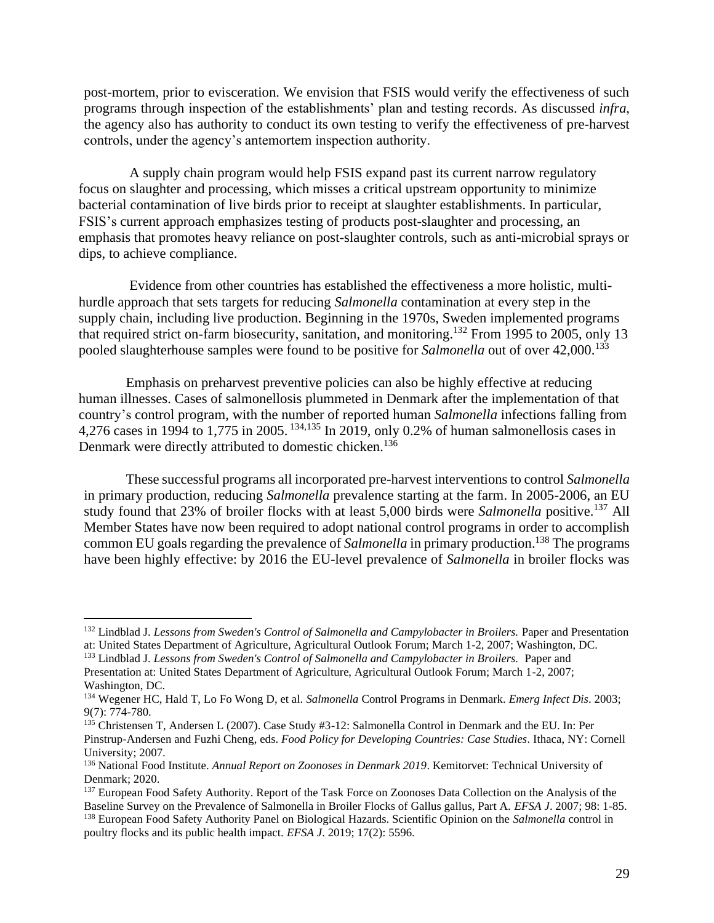post-mortem, prior to evisceration. We envision that FSIS would verify the effectiveness of such programs through inspection of the establishments' plan and testing records. As discussed *infra*, the agency also has authority to conduct its own testing to verify the effectiveness of pre-harvest controls, under the agency's antemortem inspection authority.

A supply chain program would help FSIS expand past its current narrow regulatory focus on slaughter and processing, which misses a critical upstream opportunity to minimize bacterial contamination of live birds prior to receipt at slaughter establishments. In particular, FSIS's current approach emphasizes testing of products post-slaughter and processing, an emphasis that promotes heavy reliance on post-slaughter controls, such as anti-microbial sprays or dips, to achieve compliance.

Evidence from other countries has established the effectiveness a more holistic, multihurdle approach that sets targets for reducing *Salmonella* contamination at every step in the supply chain, including live production. Beginning in the 1970s, Sweden implemented programs that required strict on-farm biosecurity, sanitation, and monitoring.<sup>132</sup> From 1995 to 2005, only 13 pooled slaughterhouse samples were found to be positive for *Salmonella* out of over 42,000.<sup>133</sup>

Emphasis on preharvest preventive policies can also be highly effective at reducing human illnesses. Cases of salmonellosis plummeted in Denmark after the implementation of that country's control program, with the number of reported human *Salmonella* infections falling from 4,276 cases in 1994 to 1,775 in 2005. 134,135 In 2019, only 0.2% of human salmonellosis cases in Denmark were directly attributed to domestic chicken.<sup>136</sup>

These successful programs all incorporated pre-harvest interventions to control *Salmonella* in primary production, reducing *Salmonella* prevalence starting at the farm. In 2005-2006, an EU study found that 23% of broiler flocks with at least 5,000 birds were *Salmonella* positive. <sup>137</sup> All Member States have now been required to adopt national control programs in order to accomplish common EU goals regarding the prevalence of *Salmonella* in primary production. <sup>138</sup> The programs have been highly effective: by 2016 the EU-level prevalence of *Salmonella* in broiler flocks was

<sup>132</sup> Lindblad J. *Lessons from Sweden's Control of Salmonella and Campylobacter in Broilers.* Paper and Presentation at: United States Department of Agriculture, Agricultural Outlook Forum; March 1-2, 2007; Washington, DC.

<sup>133</sup> Lindblad J. *Lessons from Sweden's Control of Salmonella and Campylobacter in Broilers.* Paper and

Presentation at: United States Department of Agriculture, Agricultural Outlook Forum; March 1-2, 2007; Washington, DC.

<sup>134</sup> Wegener HC, Hald T, Lo Fo Wong D, et al. *Salmonella* Control Programs in Denmark. *Emerg Infect Dis*. 2003; 9(7): 774-780.

<sup>135</sup> Christensen T, Andersen L (2007). Case Study #3-12: Salmonella Control in Denmark and the EU. In: Per Pinstrup-Andersen and Fuzhi Cheng, eds. *Food Policy for Developing Countries: Case Studies*. Ithaca, NY: Cornell University; 2007.

<sup>136</sup> National Food Institute. *Annual Report on Zoonoses in Denmark 2019*. Kemitorvet: Technical University of Denmark; 2020.

<sup>&</sup>lt;sup>137</sup> European Food Safety Authority. Report of the Task Force on Zoonoses Data Collection on the Analysis of the Baseline Survey on the Prevalence of Salmonella in Broiler Flocks of Gallus gallus, Part A. *EFSA J*. 2007; 98: 1-85. <sup>138</sup> European Food Safety Authority Panel on Biological Hazards. Scientific Opinion on the *Salmonella* control in poultry flocks and its public health impact. *EFSA J*. 2019; 17(2): 5596.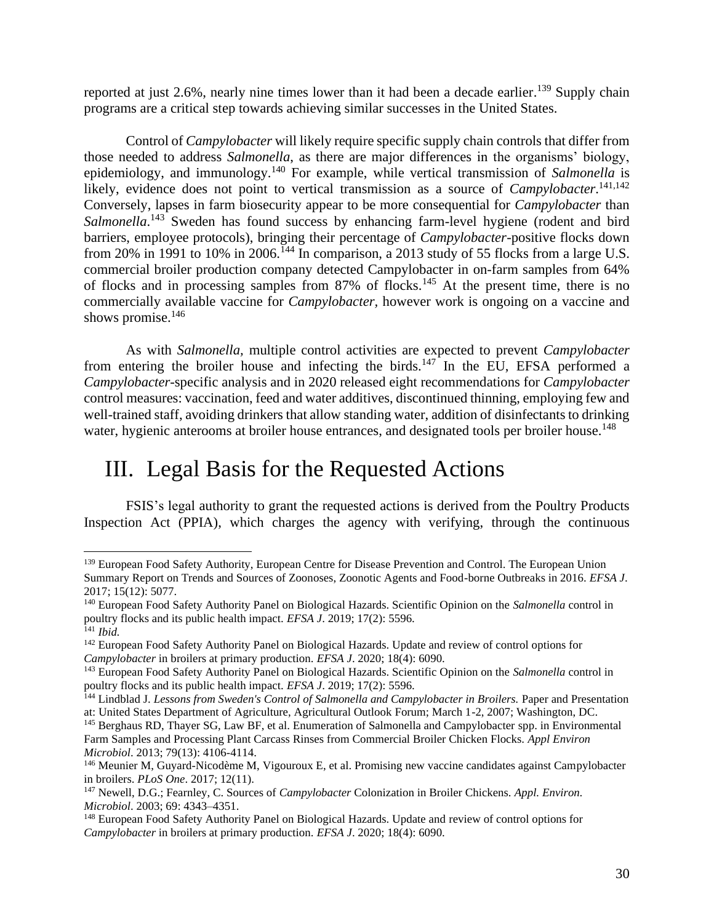reported at just 2.6%, nearly nine times lower than it had been a decade earlier.<sup>139</sup> Supply chain programs are a critical step towards achieving similar successes in the United States.

Control of *Campylobacter* will likely require specific supply chain controls that differ from those needed to address *Salmonella*, as there are major differences in the organisms' biology, epidemiology, and immunology.<sup>140</sup> For example, while vertical transmission of *Salmonella* is likely, evidence does not point to vertical transmission as a source of *Campylobacter*.<sup>141,142</sup> Conversely, lapses in farm biosecurity appear to be more consequential for *Campylobacter* than Salmonella.<sup>143</sup> Sweden has found success by enhancing farm-level hygiene (rodent and bird barriers, employee protocols), bringing their percentage of *Campylobacter-*positive flocks down from 20% in 1991 to 10% in 2006.<sup>144</sup> In comparison, a 2013 study of 55 flocks from a large U.S. commercial broiler production company detected Campylobacter in on-farm samples from 64% of flocks and in processing samples from  $87\%$  of flocks.<sup>145</sup> At the present time, there is no commercially available vaccine for *Campylobacter,* however work is ongoing on a vaccine and shows promise. $146$ 

As with *Salmonella,* multiple control activities are expected to prevent *Campylobacter* from entering the broiler house and infecting the birds.<sup>147</sup> In the EU, EFSA performed a *Campylobacter*-specific analysis and in 2020 released eight recommendations for *Campylobacter* control measures: vaccination, feed and water additives, discontinued thinning, employing few and well-trained staff, avoiding drinkers that allow standing water, addition of disinfectants to drinking water, hygienic anterooms at broiler house entrances, and designated tools per broiler house.<sup>148</sup>

# <span id="page-30-0"></span>III. Legal Basis for the Requested Actions

FSIS's legal authority to grant the requested actions is derived from the Poultry Products Inspection Act (PPIA), which charges the agency with verifying, through the continuous

<sup>&</sup>lt;sup>139</sup> European Food Safety Authority, European Centre for Disease Prevention and Control. The European Union Summary Report on Trends and Sources of Zoonoses, Zoonotic Agents and Food-borne Outbreaks in 2016. *EFSA J*. 2017; 15(12): 5077.

<sup>140</sup> European Food Safety Authority Panel on Biological Hazards. Scientific Opinion on the *Salmonella* control in poultry flocks and its public health impact. *EFSA J*. 2019; 17(2): 5596. <sup>141</sup> *Ibid.*

<sup>&</sup>lt;sup>142</sup> European Food Safety Authority Panel on Biological Hazards. Update and review of control options for *Campylobacter* in broilers at primary production. *EFSA J*. 2020; 18(4): 6090.

<sup>143</sup> European Food Safety Authority Panel on Biological Hazards. Scientific Opinion on the *Salmonella* control in poultry flocks and its public health impact. *EFSA J*. 2019; 17(2): 5596.

<sup>144</sup> Lindblad J. *Lessons from Sweden's Control of Salmonella and Campylobacter in Broilers.* Paper and Presentation at: United States Department of Agriculture, Agricultural Outlook Forum; March 1-2, 2007; Washington, DC.

<sup>145</sup> Berghaus RD, Thayer SG, Law BF, et al. Enumeration of Salmonella and Campylobacter spp. in Environmental Farm Samples and Processing Plant Carcass Rinses from Commercial Broiler Chicken Flocks. *Appl Environ Microbiol*. 2013; 79(13): 4106-4114.

<sup>146</sup> Meunier M, Guyard-Nicodème M, Vigouroux E, et al. Promising new vaccine candidates against Campylobacter in broilers. *PLoS One*. 2017; 12(11).

<sup>147</sup> Newell, D.G.; Fearnley, C. Sources of *Campylobacter* Colonization in Broiler Chickens. *Appl. Environ. Microbiol*. 2003; 69: 4343–4351.

<sup>&</sup>lt;sup>148</sup> European Food Safety Authority Panel on Biological Hazards. Update and review of control options for *Campylobacter* in broilers at primary production. *EFSA J*. 2020; 18(4): 6090.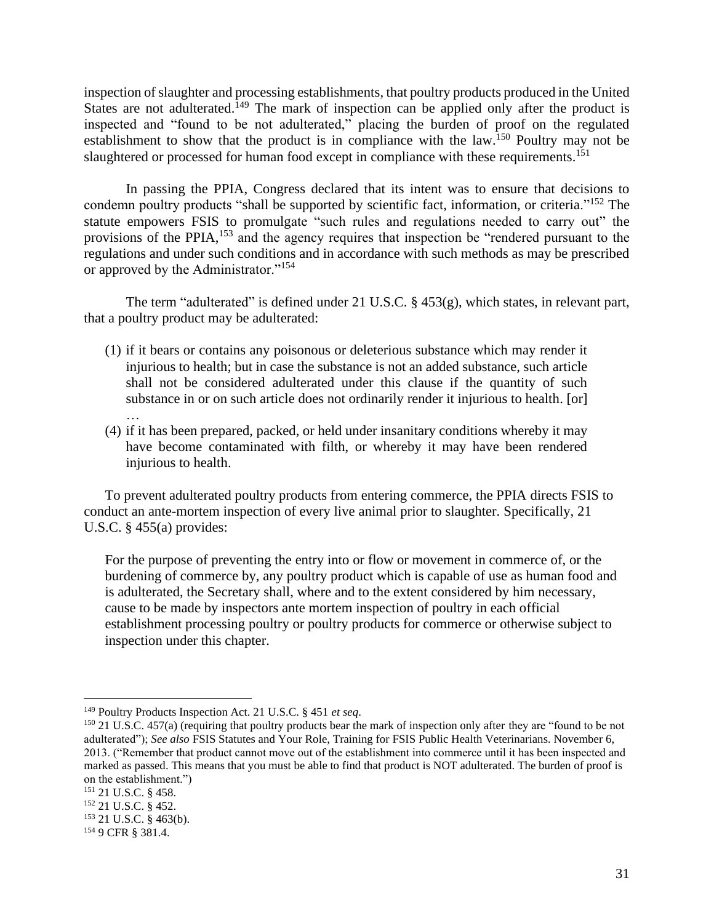inspection of slaughter and processing establishments, that poultry products produced in the United States are not adulterated.<sup>149</sup> The mark of inspection can be applied only after the product is inspected and "found to be not adulterated," placing the burden of proof on the regulated establishment to show that the product is in compliance with the law.<sup>150</sup> Poultry may not be slaughtered or processed for human food except in compliance with these requirements.<sup>151</sup>

In passing the PPIA, Congress declared that its intent was to ensure that decisions to condemn poultry products "shall be supported by scientific fact, information, or criteria."<sup>152</sup> The statute empowers FSIS to promulgate "such rules and regulations needed to carry out" the provisions of the PPIA,<sup>153</sup> and the agency requires that inspection be "rendered pursuant to the regulations and under such conditions and in accordance with such methods as may be prescribed or approved by the Administrator."<sup>154</sup>

The term "adulterated" is defined under 21 U.S.C. § 453(g), which states, in relevant part, that a poultry product may be adulterated:

- (1) if it bears or contains any poisonous or deleterious substance which may render it injurious to health; but in case the substance is not an added substance, such article shall not be considered adulterated under this clause if the quantity of such substance in or on such article does not ordinarily render it injurious to health. [or] …
- (4) if it has been prepared, packed, or held under insanitary conditions whereby it may have become contaminated with filth, or whereby it may have been rendered injurious to health.

To prevent adulterated poultry products from entering commerce, the PPIA directs FSIS to conduct an ante-mortem inspection of every live animal prior to slaughter. Specifically, 21 U.S.C.  $\S$  455(a) provides:

For the purpose of preventing the entry into or flow or movement in commerce of, or the burdening of commerce by, any poultry product which is capable of use as human food and is adulterated, the Secretary shall, where and to the extent considered by him necessary, cause to be made by inspectors ante mortem inspection of poultry in each official establishment processing poultry or poultry products for commerce or otherwise subject to inspection under this chapter.

<sup>149</sup> Poultry Products Inspection Act. 21 U.S.C. § 451 *et seq*.

<sup>150</sup> 21 U.S.C. 457(a) (requiring that poultry products bear the mark of inspection only after they are "found to be not adulterated"); *See also* FSIS Statutes and Your Role, Training for FSIS Public Health Veterinarians. November 6, 2013. ("Remember that product cannot move out of the establishment into commerce until it has been inspected and marked as passed. This means that you must be able to find that product is NOT adulterated. The burden of proof is on the establishment.")

<sup>151</sup> 21 U.S.C. § 458.

<sup>152</sup> 21 U.S.C. § 452.

<sup>153</sup> 21 U.S.C. § 463(b).

<sup>154</sup> 9 CFR § 381.4.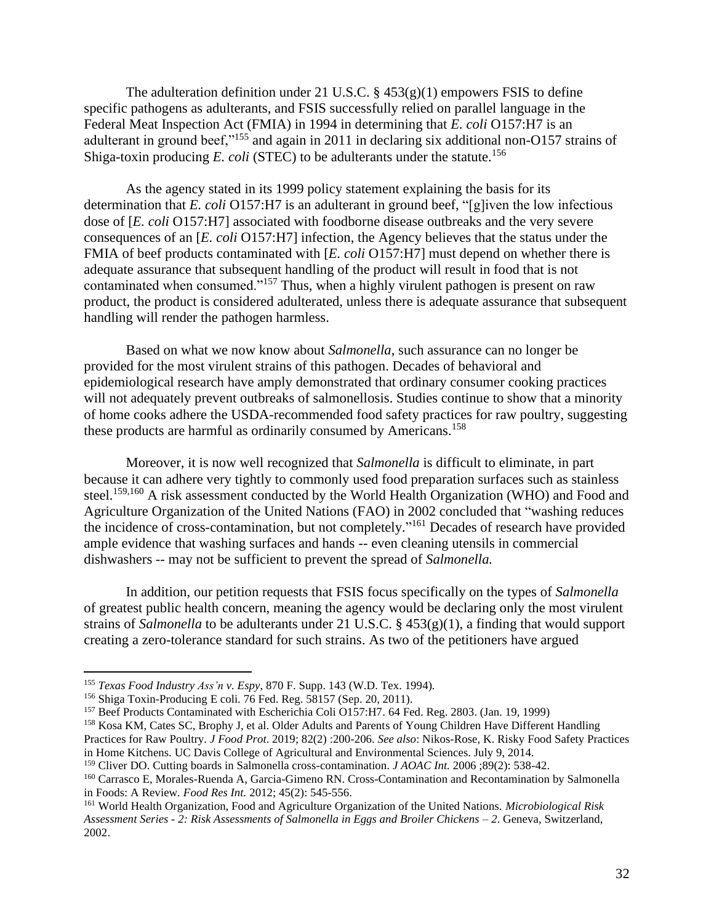The adulteration definition under 21 U.S.C.  $\S$  453(g)(1) empowers FSIS to define specific pathogens as adulterants, and FSIS successfully relied on parallel language in the Federal Meat Inspection Act (FMIA) in 1994 in determining that *E. coli* O157:H7 is an adulterant in ground beef,"<sup>155</sup> and again in 2011 in declaring six additional non-O157 strains of Shiga-toxin producing  $E.$  *coli* (STEC) to be adulterants under the statute.<sup>156</sup>

As the agency stated in its 1999 policy statement explaining the basis for its determination that *E. coli* O157:H7 is an adulterant in ground beef, "[g]iven the low infectious dose of [*E. coli* O157:H7] associated with foodborne disease outbreaks and the very severe consequences of an [*E. coli* O157:H7] infection, the Agency believes that the status under the FMIA of beef products contaminated with [*E. coli* O157:H7] must depend on whether there is adequate assurance that subsequent handling of the product will result in food that is not contaminated when consumed."<sup>157</sup> Thus, when a highly virulent pathogen is present on raw product, the product is considered adulterated, unless there is adequate assurance that subsequent handling will render the pathogen harmless.

Based on what we now know about *Salmonella*, such assurance can no longer be provided for the most virulent strains of this pathogen. Decades of behavioral and epidemiological research have amply demonstrated that ordinary consumer cooking practices will not adequately prevent outbreaks of salmonellosis. Studies continue to show that a minority of home cooks adhere the USDA-recommended food safety practices for raw poultry, suggesting these products are harmful as ordinarily consumed by Americans.<sup>158</sup>

Moreover, it is now well recognized that *Salmonella* is difficult to eliminate, in part because it can adhere very tightly to commonly used food preparation surfaces such as stainless steel.<sup>159,160</sup> A risk assessment conducted by the World Health Organization (WHO) and Food and Agriculture Organization of the United Nations (FAO) in 2002 concluded that "washing reduces the incidence of cross-contamination, but not completely."<sup>161</sup> Decades of research have provided ample evidence that washing surfaces and hands -- even cleaning utensils in commercial dishwashers -- may not be sufficient to prevent the spread of *Salmonella.*

In addition, our petition requests that FSIS focus specifically on the types of *Salmonella*  of greatest public health concern, meaning the agency would be declaring only the most virulent strains of *Salmonella* to be adulterants under 21 U.S.C. § 453(g)(1), a finding that would support creating a zero-tolerance standard for such strains. As two of the petitioners have argued

<sup>155</sup> *Texas Food Industry Ass'n v. Espy*, 870 F. Supp. 143 (W.D. Tex. 1994)*.*

<sup>156</sup> Shiga Toxin-Producing E coli. 76 Fed. Reg. 58157 (Sep. 20, 2011).

<sup>&</sup>lt;sup>157</sup> Beef Products Contaminated with Escherichia Coli O157:H7. 64 Fed. Reg. 2803. (Jan. 19, 1999)

<sup>158</sup> Kosa KM, Cates SC, Brophy J, et al. Older Adults and Parents of Young Children Have Different Handling

Practices for Raw Poultry. *J Food Prot*. 2019; 82(2) :200-206. *See also*: Nikos-Rose, K. Risky Food Safety Practices in Home Kitchens. UC Davis College of Agricultural and Environmental Sciences. July 9, 2014.

<sup>159</sup> Cliver DO. Cutting boards in Salmonella cross-contamination. *J AOAC Int.* 2006 ;89(2): 538-42.

<sup>160</sup> Carrasco E, Morales-Ruenda A, Garcia-Gimeno RN. Cross-Contamination and Recontamination by Salmonella in Foods: A Review*. Food Res Int.* 2012; 45(2): 545-556.

<sup>161</sup> World Health Organization, Food and Agriculture Organization of the United Nations. *Microbiological Risk Assessment Series - 2: Risk Assessments of Salmonella in Eggs and Broiler Chickens – 2*. Geneva, Switzerland, 2002.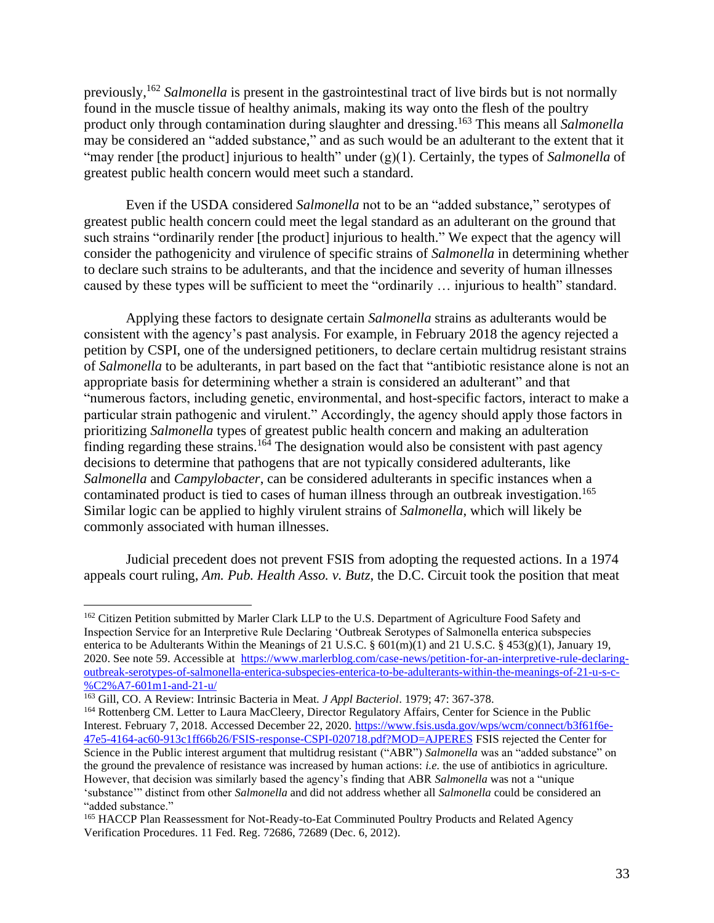previously,<sup>162</sup> *Salmonella* is present in the gastrointestinal tract of live birds but is not normally found in the muscle tissue of healthy animals, making its way onto the flesh of the poultry product only through contamination during slaughter and dressing. <sup>163</sup> This means all *Salmonella*  may be considered an "added substance," and as such would be an adulterant to the extent that it "may render [the product] injurious to health" under (g)(1). Certainly, the types of *Salmonella* of greatest public health concern would meet such a standard.

Even if the USDA considered *Salmonella* not to be an "added substance," serotypes of greatest public health concern could meet the legal standard as an adulterant on the ground that such strains "ordinarily render [the product] injurious to health." We expect that the agency will consider the pathogenicity and virulence of specific strains of *Salmonella* in determining whether to declare such strains to be adulterants, and that the incidence and severity of human illnesses caused by these types will be sufficient to meet the "ordinarily … injurious to health" standard.

Applying these factors to designate certain *Salmonella* strains as adulterants would be consistent with the agency's past analysis. For example, in February 2018 the agency rejected a petition by CSPI, one of the undersigned petitioners, to declare certain multidrug resistant strains of *Salmonella* to be adulterants, in part based on the fact that "antibiotic resistance alone is not an appropriate basis for determining whether a strain is considered an adulterant" and that "numerous factors, including genetic, environmental, and host-specific factors, interact to make a particular strain pathogenic and virulent." Accordingly, the agency should apply those factors in prioritizing *Salmonella* types of greatest public health concern and making an adulteration finding regarding these strains.<sup>164</sup> The designation would also be consistent with past agency decisions to determine that pathogens that are not typically considered adulterants, like *Salmonella* and *Campylobacter*, can be considered adulterants in specific instances when a contaminated product is tied to cases of human illness through an outbreak investigation. 165 Similar logic can be applied to highly virulent strains of *Salmonella*, which will likely be commonly associated with human illnesses.

Judicial precedent does not prevent FSIS from adopting the requested actions. In a 1974 appeals court ruling, *Am. Pub. Health Asso. v. Butz*, the D.C. Circuit took the position that meat

<sup>&</sup>lt;sup>162</sup> Citizen Petition submitted by Marler Clark LLP to the U.S. Department of Agriculture Food Safety and Inspection Service for an Interpretive Rule Declaring 'Outbreak Serotypes of Salmonella enterica subspecies enterica to be Adulterants Within the Meanings of 21 U.S.C.  $\S$  601(m)(1) and 21 U.S.C.  $\S$  453(g)(1), January 19, 2020. See note 59. Accessible at [https://www.marlerblog.com/case-news/petition-for-an-interpretive-rule-declaring](https://www.marlerblog.com/case-news/petition-for-an-interpretive-rule-declaring-outbreak-serotypes-of-salmonella-enterica-subspecies-enterica-to-be-adulterants-within-the-meanings-of-21-u-s-c-%C2%A7-601m1-and-21-u/)[outbreak-serotypes-of-salmonella-enterica-subspecies-enterica-to-be-adulterants-within-the-meanings-of-21-u-s-c-](https://www.marlerblog.com/case-news/petition-for-an-interpretive-rule-declaring-outbreak-serotypes-of-salmonella-enterica-subspecies-enterica-to-be-adulterants-within-the-meanings-of-21-u-s-c-%C2%A7-601m1-and-21-u/) [%C2%A7-601m1-and-21-u/](https://www.marlerblog.com/case-news/petition-for-an-interpretive-rule-declaring-outbreak-serotypes-of-salmonella-enterica-subspecies-enterica-to-be-adulterants-within-the-meanings-of-21-u-s-c-%C2%A7-601m1-and-21-u/)

<sup>163</sup> Gill, CO. A Review: Intrinsic Bacteria in Meat. *J Appl Bacteriol*. 1979; 47: 367-378.

<sup>&</sup>lt;sup>164</sup> Rottenberg CM. Letter to Laura MacCleery, Director Regulatory Affairs, Center for Science in the Public Interest. February 7, 2018. Accessed December 22, 2020. [https://www.fsis.usda.gov/wps/wcm/connect/b3f61f6e-](https://www.fsis.usda.gov/wps/wcm/connect/b3f61f6e-47e5-4164-ac60-913c1ff66b26/FSIS-response-CSPI-020718.pdf?MOD=AJPERES)[47e5-4164-ac60-913c1ff66b26/FSIS-response-CSPI-020718.pdf?MOD=AJPERES](https://www.fsis.usda.gov/wps/wcm/connect/b3f61f6e-47e5-4164-ac60-913c1ff66b26/FSIS-response-CSPI-020718.pdf?MOD=AJPERES) FSIS rejected the Center for Science in the Public interest argument that multidrug resistant ("ABR") *Salmonella* was an "added substance" on the ground the prevalence of resistance was increased by human actions: *i.e.* the use of antibiotics in agriculture. However, that decision was similarly based the agency's finding that ABR *Salmonella* was not a "unique 'substance'" distinct from other *Salmonella* and did not address whether all *Salmonella* could be considered an "added substance."

<sup>&</sup>lt;sup>165</sup> HACCP Plan Reassessment for Not-Ready-to-Eat Comminuted Poultry Products and Related Agency Verification Procedures. 11 Fed. Reg. 72686, 72689 (Dec. 6, 2012).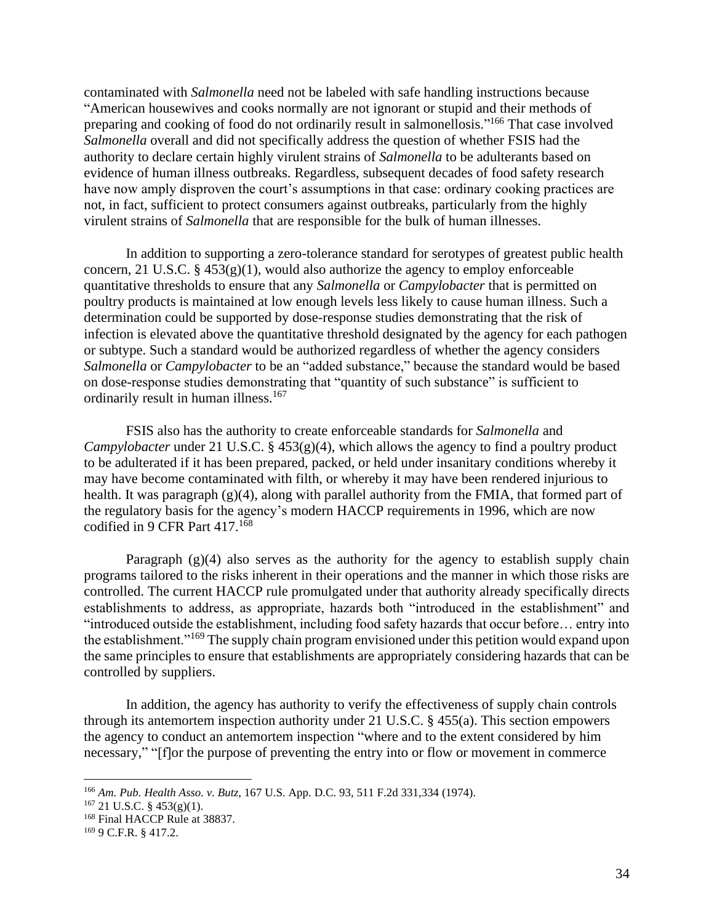contaminated with *Salmonella* need not be labeled with safe handling instructions because "American housewives and cooks normally are not ignorant or stupid and their methods of preparing and cooking of food do not ordinarily result in salmonellosis."<sup>166</sup> That case involved *Salmonella* overall and did not specifically address the question of whether FSIS had the authority to declare certain highly virulent strains of *Salmonella* to be adulterants based on evidence of human illness outbreaks. Regardless, subsequent decades of food safety research have now amply disproven the court's assumptions in that case: ordinary cooking practices are not, in fact, sufficient to protect consumers against outbreaks, particularly from the highly virulent strains of *Salmonella* that are responsible for the bulk of human illnesses.

In addition to supporting a zero-tolerance standard for serotypes of greatest public health concern, 21 U.S.C.  $\S$  453(g)(1), would also authorize the agency to employ enforceable quantitative thresholds to ensure that any *Salmonella* or *Campylobacter* that is permitted on poultry products is maintained at low enough levels less likely to cause human illness. Such a determination could be supported by dose-response studies demonstrating that the risk of infection is elevated above the quantitative threshold designated by the agency for each pathogen or subtype. Such a standard would be authorized regardless of whether the agency considers *Salmonella* or *Campylobacter* to be an "added substance," because the standard would be based on dose-response studies demonstrating that "quantity of such substance" is sufficient to ordinarily result in human illness. 167

FSIS also has the authority to create enforceable standards for *Salmonella* and *Campylobacter* under 21 U.S.C. § 453(g)(4), which allows the agency to find a poultry product to be adulterated if it has been prepared, packed, or held under insanitary conditions whereby it may have become contaminated with filth, or whereby it may have been rendered injurious to health. It was paragraph (g)(4), along with parallel authority from the FMIA, that formed part of the regulatory basis for the agency's modern HACCP requirements in 1996, which are now codified in 9 CFR Part 417. 168

Paragraph  $(g)(4)$  also serves as the authority for the agency to establish supply chain programs tailored to the risks inherent in their operations and the manner in which those risks are controlled. The current HACCP rule promulgated under that authority already specifically directs establishments to address, as appropriate, hazards both "introduced in the establishment" and "introduced outside the establishment, including food safety hazards that occur before… entry into the establishment."<sup>169</sup> The supply chain program envisioned under this petition would expand upon the same principles to ensure that establishments are appropriately considering hazards that can be controlled by suppliers.

In addition, the agency has authority to verify the effectiveness of supply chain controls through its antemortem inspection authority under 21 U.S.C. § 455(a). This section empowers the agency to conduct an antemortem inspection "where and to the extent considered by him necessary," "[f]or the purpose of preventing the entry into or flow or movement in commerce

<sup>166</sup> *Am. Pub. Health Asso. v. Butz*, 167 U.S. App. D.C. 93, 511 F.2d 331,334 (1974).

 $167$  21 U.S.C. § 453(g)(1).

<sup>168</sup> Final HACCP Rule at 38837.

<sup>169</sup> 9 C.F.R. § 417.2.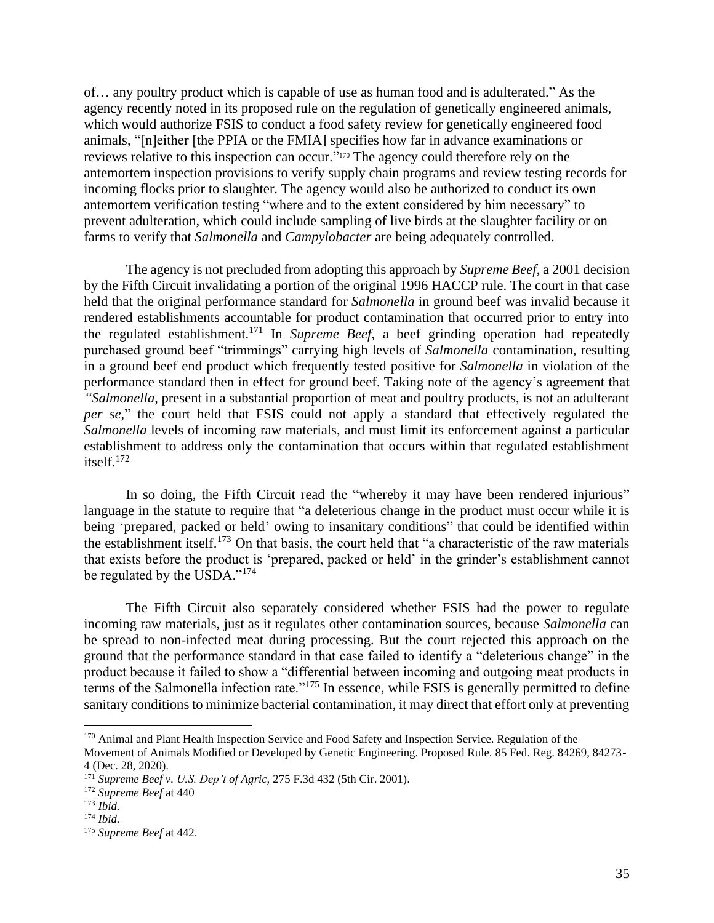of… any poultry product which is capable of use as human food and is adulterated." As the agency recently noted in its proposed rule on the regulation of genetically engineered animals, which would authorize FSIS to conduct a food safety review for genetically engineered food animals, "[n]either [the PPIA or the FMIA] specifies how far in advance examinations or reviews relative to this inspection can occur."<sup>170</sup> The agency could therefore rely on the antemortem inspection provisions to verify supply chain programs and review testing records for incoming flocks prior to slaughter. The agency would also be authorized to conduct its own antemortem verification testing "where and to the extent considered by him necessary" to prevent adulteration, which could include sampling of live birds at the slaughter facility or on farms to verify that *Salmonella* and *Campylobacter* are being adequately controlled.

The agency is not precluded from adopting this approach by *Supreme Beef*, a 2001 decision by the Fifth Circuit invalidating a portion of the original 1996 HACCP rule. The court in that case held that the original performance standard for *Salmonella* in ground beef was invalid because it rendered establishments accountable for product contamination that occurred prior to entry into the regulated establishment.<sup>171</sup> In *Supreme Beef,* a beef grinding operation had repeatedly purchased ground beef "trimmings" carrying high levels of *Salmonella* contamination, resulting in a ground beef end product which frequently tested positive for *Salmonella* in violation of the performance standard then in effect for ground beef. Taking note of the agency's agreement that *"Salmonella*, present in a substantial proportion of meat and poultry products, is not an adulterant *per se*," the court held that FSIS could not apply a standard that effectively regulated the *Salmonella* levels of incoming raw materials, and must limit its enforcement against a particular establishment to address only the contamination that occurs within that regulated establishment itself.<sup>172</sup>

In so doing, the Fifth Circuit read the "whereby it may have been rendered injurious" language in the statute to require that "a deleterious change in the product must occur while it is being 'prepared, packed or held' owing to insanitary conditions" that could be identified within the establishment itself.<sup>173</sup> On that basis, the court held that "a characteristic of the raw materials that exists before the product is 'prepared, packed or held' in the grinder's establishment cannot be regulated by the USDA."<sup>174</sup>

The Fifth Circuit also separately considered whether FSIS had the power to regulate incoming raw materials, just as it regulates other contamination sources, because *Salmonella* can be spread to non-infected meat during processing. But the court rejected this approach on the ground that the performance standard in that case failed to identify a "deleterious change" in the product because it failed to show a "differential between incoming and outgoing meat products in terms of the Salmonella infection rate."<sup>175</sup> In essence, while FSIS is generally permitted to define sanitary conditions to minimize bacterial contamination, it may direct that effort only at preventing

<sup>&</sup>lt;sup>170</sup> Animal and Plant Health Inspection Service and Food Safety and Inspection Service. Regulation of the

Movement of Animals Modified or Developed by Genetic Engineering. Proposed Rule. 85 Fed. Reg. 84269, 84273- 4 (Dec. 28, 2020).

<sup>171</sup> *Supreme Beef v. U.S. Dep't of Agric,* 275 F.3d 432 (5th Cir. 2001).

<sup>172</sup> *Supreme Beef* at 440

<sup>173</sup> *Ibid.*

<sup>174</sup> *Ibid.* 

<sup>175</sup> *Supreme Beef* at 442.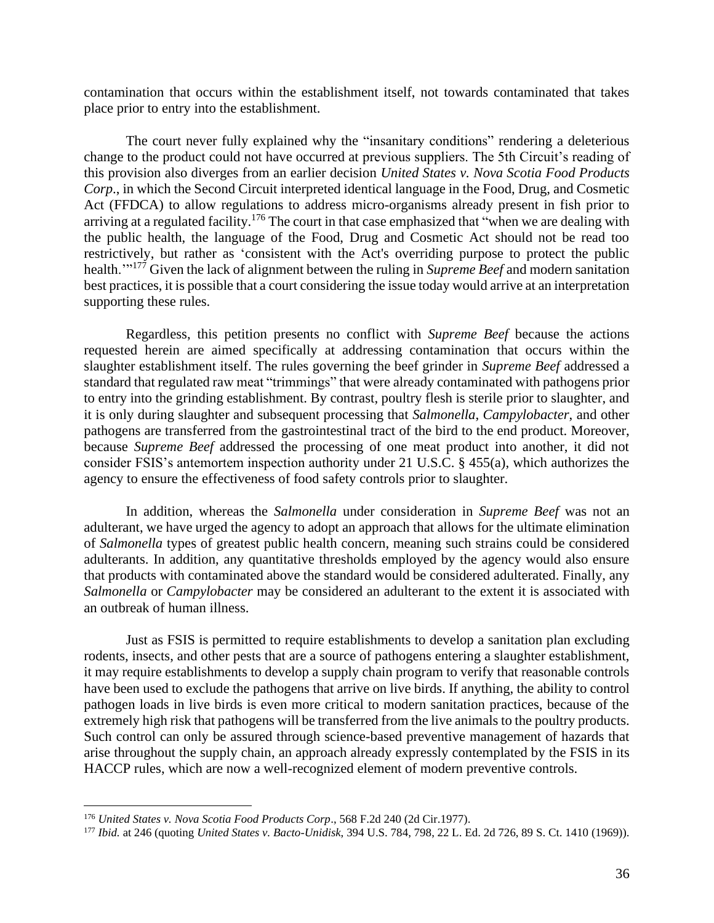contamination that occurs within the establishment itself, not towards contaminated that takes place prior to entry into the establishment.

The court never fully explained why the "insanitary conditions" rendering a deleterious change to the product could not have occurred at previous suppliers. The 5th Circuit's reading of this provision also diverges from an earlier decision *United States v. Nova Scotia Food Products Corp*., in which the Second Circuit interpreted identical language in the Food, Drug, and Cosmetic Act (FFDCA) to allow regulations to address micro-organisms already present in fish prior to arriving at a regulated facility.<sup>176</sup> The court in that case emphasized that "when we are dealing with the public health, the language of the Food, Drug and Cosmetic Act should not be read too restrictively, but rather as 'consistent with the Act's overriding purpose to protect the public health.'" <sup>177</sup> Given the lack of alignment between the ruling in *Supreme Beef* and modern sanitation best practices, it is possible that a court considering the issue today would arrive at an interpretation supporting these rules.

Regardless, this petition presents no conflict with *Supreme Beef* because the actions requested herein are aimed specifically at addressing contamination that occurs within the slaughter establishment itself. The rules governing the beef grinder in *Supreme Beef* addressed a standard that regulated raw meat "trimmings" that were already contaminated with pathogens prior to entry into the grinding establishment. By contrast, poultry flesh is sterile prior to slaughter, and it is only during slaughter and subsequent processing that *Salmonella*, *Campylobacter*, and other pathogens are transferred from the gastrointestinal tract of the bird to the end product. Moreover, because *Supreme Beef* addressed the processing of one meat product into another, it did not consider FSIS's antemortem inspection authority under 21 U.S.C. § 455(a), which authorizes the agency to ensure the effectiveness of food safety controls prior to slaughter.

In addition, whereas the *Salmonella* under consideration in *Supreme Beef* was not an adulterant, we have urged the agency to adopt an approach that allows for the ultimate elimination of *Salmonella* types of greatest public health concern, meaning such strains could be considered adulterants. In addition, any quantitative thresholds employed by the agency would also ensure that products with contaminated above the standard would be considered adulterated. Finally, any *Salmonella* or *Campylobacter* may be considered an adulterant to the extent it is associated with an outbreak of human illness.

Just as FSIS is permitted to require establishments to develop a sanitation plan excluding rodents, insects, and other pests that are a source of pathogens entering a slaughter establishment, it may require establishments to develop a supply chain program to verify that reasonable controls have been used to exclude the pathogens that arrive on live birds. If anything, the ability to control pathogen loads in live birds is even more critical to modern sanitation practices, because of the extremely high risk that pathogens will be transferred from the live animals to the poultry products. Such control can only be assured through science-based preventive management of hazards that arise throughout the supply chain, an approach already expressly contemplated by the FSIS in its HACCP rules, which are now a well-recognized element of modern preventive controls.

<sup>176</sup> *United States v. Nova Scotia Food Products Corp*., 568 F.2d 240 (2d Cir.1977).

<sup>177</sup> *Ibid.* at 246 (quoting *United States v. Bacto-Unidisk*, 394 U.S. 784, 798, 22 L. Ed. 2d 726, 89 S. Ct. 1410 (1969)).